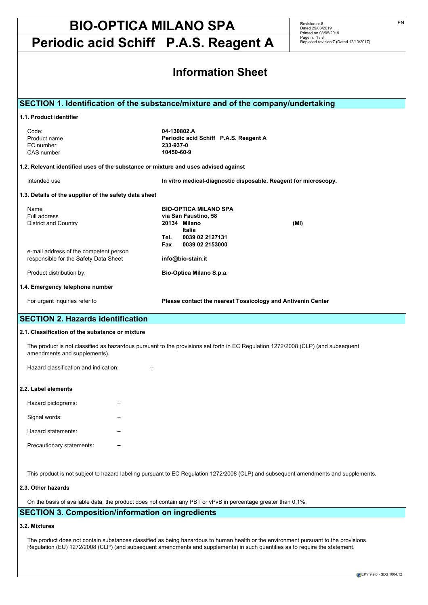**Periodic acid Schiff P.A.S. Reagent A**

Revision nr.8 Dated 29/03/2019 Printed on 08/05/2019 Page n. 1 / 8 Replaced revision:7 (Dated 12/10/2017)

| <b>Information Sheet</b>                                                                                                                                             |                                                                                                                                                                                                     |  |  |
|----------------------------------------------------------------------------------------------------------------------------------------------------------------------|-----------------------------------------------------------------------------------------------------------------------------------------------------------------------------------------------------|--|--|
| 1.1. Product identifier<br>Code:<br>Product name<br>EC number<br>CAS number<br>1.2. Relevant identified uses of the substance or mixture and uses advised against    | SECTION 1. Identification of the substance/mixture and of the company/undertaking<br>04-130802.A<br>Periodic acid Schiff P.A.S. Reagent A<br>233-937-0<br>10450-60-9                                |  |  |
| Intended use<br>1.3. Details of the supplier of the safety data sheet                                                                                                | In vitro medical-diagnostic disposable. Reagent for microscopy.                                                                                                                                     |  |  |
| Name<br>Full address<br><b>District and Country</b><br>e-mail address of the competent person<br>responsible for the Safety Data Sheet<br>Product distribution by:   | <b>BIO-OPTICA MILANO SPA</b><br>via San Faustino, 58<br>20134 Milano<br>(MI)<br><b>Italia</b><br>0039 02 2127131<br>Tel.<br>Fax<br>0039 02 2153000<br>info@bio-stain.it<br>Bio-Optica Milano S.p.a. |  |  |
| 1.4. Emergency telephone number                                                                                                                                      |                                                                                                                                                                                                     |  |  |
| For urgent inquiries refer to                                                                                                                                        | Please contact the nearest Tossicology and Antivenin Center                                                                                                                                         |  |  |
| <b>SECTION 2. Hazards identification</b><br>2.1. Classification of the substance or mixture<br>amendments and supplements).<br>Hazard classification and indication: | The product is not classified as hazardous pursuant to the provisions set forth in EC Regulation 1272/2008 (CLP) (and subsequent                                                                    |  |  |
| 2.2. Label elements<br>Hazard pictograms:<br>Signal words:<br>Hazard statements:<br>Precautionary statements:                                                        |                                                                                                                                                                                                     |  |  |
| 2.3. Other hazards                                                                                                                                                   | This product is not subject to hazard labeling pursuant to EC Regulation 1272/2008 (CLP) and subsequent amendments and supplements.                                                                 |  |  |

On the basis of available data, the product does not contain any PBT or vPvB in percentage greater than 0,1%.

## **SECTION 3. Composition/information on ingredients**

#### **3.2. Mixtures**

The product does not contain substances classified as being hazardous to human health or the environment pursuant to the provisions Regulation (EU) 1272/2008 (CLP) (and subsequent amendments and supplements) in such quantities as to require the statement.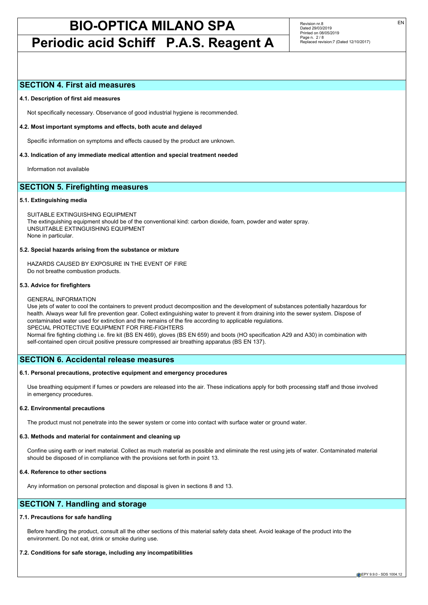## **Periodic acid Schiff P.A.S. Reagent A**

Revision nr.8 Dated 29/03/2019 Printed on 08/05/2019 Page n. 2 / 8 Replaced revision:7 (Dated 12/10/2017)

### **SECTION 4. First aid measures**

#### **4.1. Description of first aid measures**

Not specifically necessary. Observance of good industrial hygiene is recommended.

#### **4.2. Most important symptoms and effects, both acute and delayed**

Specific information on symptoms and effects caused by the product are unknown.

#### **4.3. Indication of any immediate medical attention and special treatment needed**

Information not available

## **SECTION 5. Firefighting measures**

#### **5.1. Extinguishing media**

SUITABLE EXTINGUISHING EQUIPMENT The extinguishing equipment should be of the conventional kind: carbon dioxide, foam, powder and water spray. UNSUITABLE EXTINGUISHING EQUIPMENT None in particular.

#### **5.2. Special hazards arising from the substance or mixture**

HAZARDS CAUSED BY EXPOSURE IN THE EVENT OF FIRE Do not breathe combustion products.

#### **5.3. Advice for firefighters**

#### GENERAL INFORMATION

Use jets of water to cool the containers to prevent product decomposition and the development of substances potentially hazardous for health. Always wear full fire prevention gear. Collect extinguishing water to prevent it from draining into the sewer system. Dispose of contaminated water used for extinction and the remains of the fire according to applicable regulations. SPECIAL PROTECTIVE EQUIPMENT FOR FIRE-FIGHTERS Normal fire fighting clothing i.e. fire kit (BS EN 469), gloves (BS EN 659) and boots (HO specification A29 and A30) in combination with

**SECTION 6. Accidental release measures**

#### **6.1. Personal precautions, protective equipment and emergency procedures**

self-contained open circuit positive pressure compressed air breathing apparatus (BS EN 137).

Use breathing equipment if fumes or powders are released into the air. These indications apply for both processing staff and those involved in emergency procedures.

#### **6.2. Environmental precautions**

The product must not penetrate into the sewer system or come into contact with surface water or ground water.

#### **6.3. Methods and material for containment and cleaning up**

Confine using earth or inert material. Collect as much material as possible and eliminate the rest using jets of water. Contaminated material should be disposed of in compliance with the provisions set forth in point 13.

## **6.4. Reference to other sections**

Any information on personal protection and disposal is given in sections 8 and 13.

## **SECTION 7. Handling and storage**

#### **7.1. Precautions for safe handling**

Before handling the product, consult all the other sections of this material safety data sheet. Avoid leakage of the product into the environment. Do not eat, drink or smoke during use.

### **7.2. Conditions for safe storage, including any incompatibilities**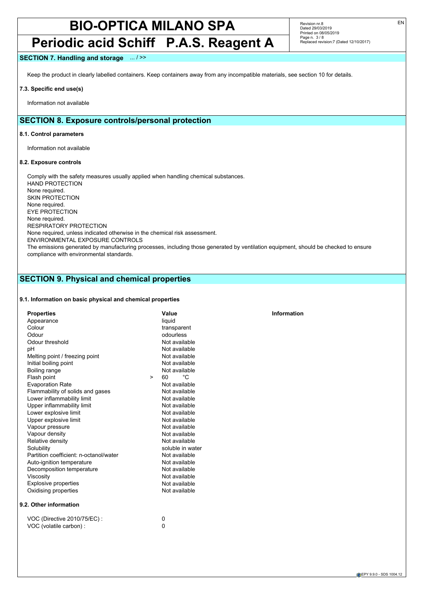## **Periodic acid Schiff P.A.S. Reagent A**

Revision nr.8 Dated 29/03/2019 Printed on 08/05/2019 Page n. 3 / 8 Replaced revision:7 (Dated 12/10/2017)

### **SECTION 7. Handling and storage** ... / >>

Keep the product in clearly labelled containers. Keep containers away from any incompatible materials, see section 10 for details.

#### **7.3. Specific end use(s)**

Information not available

## **SECTION 8. Exposure controls/personal protection**

#### **8.1. Control parameters**

Information not available

#### **8.2. Exposure controls**

VOC (volatile carbon) :

Comply with the safety measures usually applied when handling chemical substances. HAND PROTECTION None required. SKIN PROTECTION None required. EYE PROTECTION None required. RESPIRATORY PROTECTION None required, unless indicated otherwise in the chemical risk assessment. ENVIRONMENTAL EXPOSURE CONTROLS The emissions generated by manufacturing processes, including those generated by ventilation equipment, should be checked to ensure compliance with environmental standards.

## **SECTION 9. Physical and chemical properties**

#### **9.1. Information on basic physical and chemical properties**

| <b>Properties</b>                      |        | Value            | Information |
|----------------------------------------|--------|------------------|-------------|
| Appearance                             |        | liquid           |             |
| Colour                                 |        | transparent      |             |
| Odour                                  |        | odourless        |             |
| Odour threshold                        |        | Not available    |             |
| pH                                     |        | Not available    |             |
| Melting point / freezing point         |        | Not available    |             |
| Initial boiling point                  |        | Not available    |             |
| Boiling range                          |        | Not available    |             |
| Flash point                            | $\geq$ | °C<br>60         |             |
| <b>Evaporation Rate</b>                |        | Not available    |             |
| Flammability of solids and gases       |        | Not available    |             |
| Lower inflammability limit             |        | Not available    |             |
| Upper inflammability limit             |        | Not available    |             |
| Lower explosive limit                  |        | Not available    |             |
| Upper explosive limit                  |        | Not available    |             |
| Vapour pressure                        |        | Not available    |             |
| Vapour density                         |        | Not available    |             |
| Relative density                       |        | Not available    |             |
| Solubility                             |        | soluble in water |             |
| Partition coefficient: n-octanol/water |        | Not available    |             |
| Auto-ignition temperature              |        | Not available    |             |
| Decomposition temperature              |        | Not available    |             |
| Viscosity                              |        | Not available    |             |
| <b>Explosive properties</b>            |        | Not available    |             |
| Oxidising properties                   |        | Not available    |             |
| 9.2. Other information                 |        |                  |             |
| VOC (Directive 2010/75/EC) :           |        | 0                |             |
| $VOC$ (volatile carbon) $\cdot$        |        | $\Omega$         |             |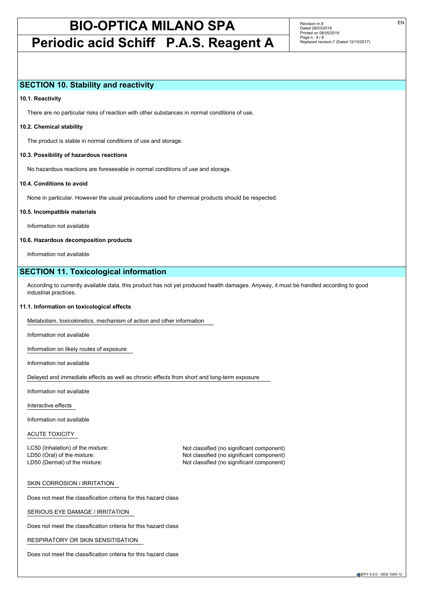## **Periodic acid Schiff P.A.S. Reagent A**

Revision nr.8 Dated 29/03/2019 Printed on 08/05/2019 Page n. 4/8 Replaced revision:7 (Dated 12/10/2017)

### **SECTION 10. Stability and reactivity**

#### **10.1. Reactivity**

There are no particular risks of reaction with other substances in normal conditions of use.

#### **10.2. Chemical stability**

The product is stable in normal conditions of use and storage.

#### **10.3. Possibility of hazardous reactions**

No hazardous reactions are foreseeable in normal conditions of use and storage.

#### **10.4. Conditions to avoid**

None in particular. However the usual precautions used for chemical products should be respected.

#### **10.5. Incompatible materials**

Information not available

#### **10.6. Hazardous decomposition products**

Information not available

## **SECTION 11. Toxicological information**

According to currently available data, this product has not yet produced health damages. Anyway, it must be handled according to good industrial practices.

#### **11.1. Information on toxicological effects**

Metabolism, toxicokinetics, mechanism of action and other information

Information not available

Information on likely routes of exposure

Information not available

Delayed and immediate effects as well as chronic effects from short and long-term exposure

Information not available

Interactive effects

Information not available

#### ACUTE TOXICITY

LC50 (Inhalation) of the mixture: Not classified (no significant component)

LD50 (Oral) of the mixture: Not classified (no significant component) LD50 (Dermal) of the mixture: Not classified (no significant component)

#### SKIN CORROSION / IRRITATION

Does not meet the classification criteria for this hazard class

SERIOUS EYE DAMAGE / IRRITATION

Does not meet the classification criteria for this hazard class

RESPIRATORY OR SKIN SENSITISATION

Does not meet the classification criteria for this hazard class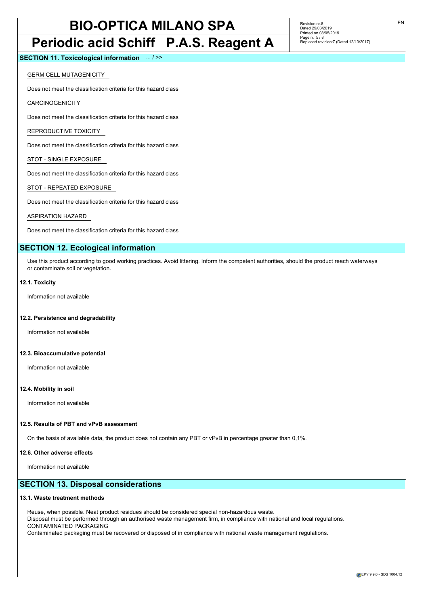## **Periodic acid Schiff P.A.S. Reagent A**

Revision nr.8 Dated 29/03/2019 Printed on 08/05/2019 Page n. 5 / 8 Replaced revision:7 (Dated 12/10/2017)

**SECTION 11. Toxicological information** ... / >>

GERM CELL MUTAGENICITY

Does not meet the classification criteria for this hazard class

CARCINOGENICITY

Does not meet the classification criteria for this hazard class

REPRODUCTIVE TOXICITY

Does not meet the classification criteria for this hazard class

STOT - SINGLE EXPOSURE

Does not meet the classification criteria for this hazard class

STOT - REPEATED EXPOSURE

Does not meet the classification criteria for this hazard class

ASPIRATION HAZARD

Does not meet the classification criteria for this hazard class

## **SECTION 12. Ecological information**

Use this product according to good working practices. Avoid littering. Inform the competent authorities, should the product reach waterways or contaminate soil or vegetation.

#### **12.1. Toxicity**

Information not available

#### **12.2. Persistence and degradability**

Information not available

#### **12.3. Bioaccumulative potential**

Information not available

#### **12.4. Mobility in soil**

Information not available

#### **12.5. Results of PBT and vPvB assessment**

On the basis of available data, the product does not contain any PBT or vPvB in percentage greater than 0,1%.

#### **12.6. Other adverse effects**

Information not available

### **SECTION 13. Disposal considerations**

#### **13.1. Waste treatment methods**

Reuse, when possible. Neat product residues should be considered special non-hazardous waste. Disposal must be performed through an authorised waste management firm, in compliance with national and local regulations. CONTAMINATED PACKAGING Contaminated packaging must be recovered or disposed of in compliance with national waste management regulations.

EPY 9.9.0 - SDS 1004.12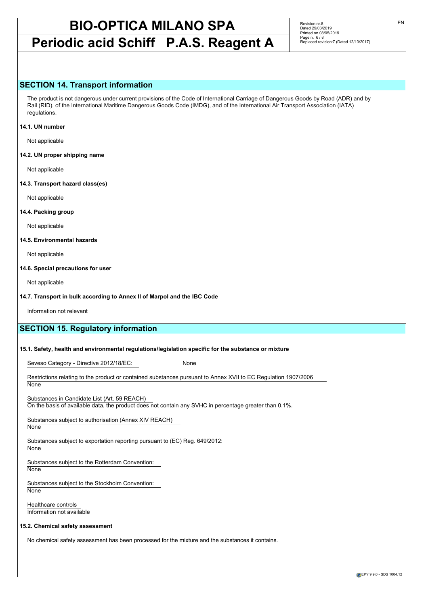## **Periodic acid Schiff P.A.S. Reagent A**

Revision nr.8 Dated 29/03/2019 Printed on 08/05/2019 Page n. 6/8 Replaced revision:7 (Dated 12/10/2017)

### **SECTION 14. Transport information**

The product is not dangerous under current provisions of the Code of International Carriage of Dangerous Goods by Road (ADR) and by Rail (RID), of the International Maritime Dangerous Goods Code (IMDG), and of the International Air Transport Association (IATA) regulations.

#### **14.1. UN number**

Not applicable

**14.2. UN proper shipping name**

Not applicable

**14.3. Transport hazard class(es)**

Not applicable

#### **14.4. Packing group**

Not applicable

#### **14.5. Environmental hazards**

Not applicable

#### **14.6. Special precautions for user**

Not applicable

#### **14.7. Transport in bulk according to Annex II of Marpol and the IBC Code**

Information not relevant

## **SECTION 15. Regulatory information**

#### **15.1. Safety, health and environmental regulations/legislation specific for the substance or mixture**

Seveso Category - Directive 2012/18/EC: None

Restrictions relating to the product or contained substances pursuant to Annex XVII to EC Regulation 1907/2006 **None** 

Substances in Candidate List (Art. 59 REACH)

On the basis of available data, the product does not contain any SVHC in percentage greater than 0,1%.

Substances subject to authorisation (Annex XIV REACH)

**None** 

Substances subject to exportation reporting pursuant to (EC) Reg. 649/2012:

**None** 

Substances subject to the Rotterdam Convention: **None** 

Substances subject to the Stockholm Convention: **None** 

Healthcare controls Information not available

#### **15.2. Chemical safety assessment**

No chemical safety assessment has been processed for the mixture and the substances it contains.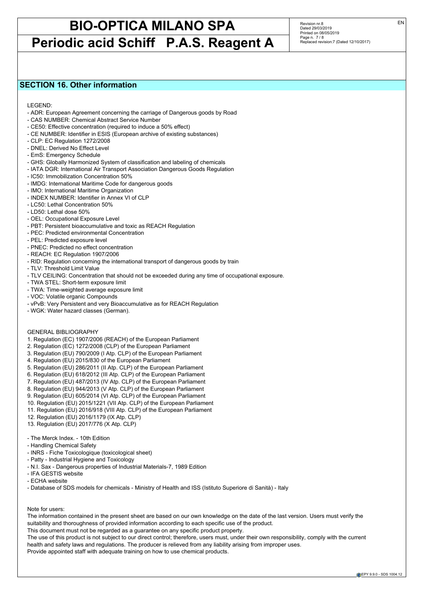## **Periodic acid Schiff P.A.S. Reagent A**

Revision nr.8 Dated 29/03/2019 Printed on 08/05/2019 Page n. 7 / 8 Replaced revision:7 (Dated 12/10/2017)

## **SECTION 16. Other information**

LEGEND:

- ADR: European Agreement concerning the carriage of Dangerous goods by Road
- CAS NUMBER: Chemical Abstract Service Number
- CE50: Effective concentration (required to induce a 50% effect)
- CE NUMBER: Identifier in ESIS (European archive of existing substances)
- CLP: EC Regulation 1272/2008
- DNEL: Derived No Effect Level
- EmS: Emergency Schedule
- GHS: Globally Harmonized System of classification and labeling of chemicals
- IATA DGR: International Air Transport Association Dangerous Goods Regulation
- IC50: Immobilization Concentration 50%
- IMDG: International Maritime Code for dangerous goods
- IMO: International Maritime Organization
- INDEX NUMBER: Identifier in Annex VI of CLP
- LC50: Lethal Concentration 50%
- LD50: Lethal dose 50%
- OEL: Occupational Exposure Level
- PBT: Persistent bioaccumulative and toxic as REACH Regulation
- PEC: Predicted environmental Concentration
- PEL: Predicted exposure level
- PNEC: Predicted no effect concentration
- REACH: EC Regulation 1907/2006
- RID: Regulation concerning the international transport of dangerous goods by train
- TLV: Threshold Limit Value
- TLV CEILING: Concentration that should not be exceeded during any time of occupational exposure.
- TWA STEL: Short-term exposure limit
- TWA: Time-weighted average exposure limit
- VOC: Volatile organic Compounds
- vPvB: Very Persistent and very Bioaccumulative as for REACH Regulation
- WGK: Water hazard classes (German).

#### GENERAL BIBLIOGRAPHY

- 1. Regulation (EC) 1907/2006 (REACH) of the European Parliament
- 2. Regulation (EC) 1272/2008 (CLP) of the European Parliament
- 3. Regulation (EU) 790/2009 (I Atp. CLP) of the European Parliament
- 4. Regulation (EU) 2015/830 of the European Parliament
- 5. Regulation (EU) 286/2011 (II Atp. CLP) of the European Parliament
- 6. Regulation (EU) 618/2012 (III Atp. CLP) of the European Parliament
- 7. Regulation (EU) 487/2013 (IV Atp. CLP) of the European Parliament
- 8. Regulation (EU) 944/2013 (V Atp. CLP) of the European Parliament
- 9. Regulation (EU) 605/2014 (VI Atp. CLP) of the European Parliament
- 10. Regulation (EU) 2015/1221 (VII Atp. CLP) of the European Parliament
- 11. Regulation (EU) 2016/918 (VIII Atp. CLP) of the European Parliament
- 12. Regulation (EU) 2016/1179 (IX Atp. CLP)
- 13. Regulation (EU) 2017/776 (X Atp. CLP)
- The Merck Index. 10th Edition
- Handling Chemical Safety
- INRS Fiche Toxicologique (toxicological sheet)
- Patty Industrial Hygiene and Toxicology
- N.I. Sax Dangerous properties of Industrial Materials-7, 1989 Edition
- IFA GESTIS website
- ECHA website
- Database of SDS models for chemicals Ministry of Health and ISS (Istituto Superiore di Sanità) Italy

#### Note for users:

The information contained in the present sheet are based on our own knowledge on the date of the last version. Users must verify the suitability and thoroughness of provided information according to each specific use of the product.

This document must not be regarded as a guarantee on any specific product property.

The use of this product is not subject to our direct control; therefore, users must, under their own responsibility, comply with the current health and safety laws and regulations. The producer is relieved from any liability arising from improper uses.

Provide appointed staff with adequate training on how to use chemical products.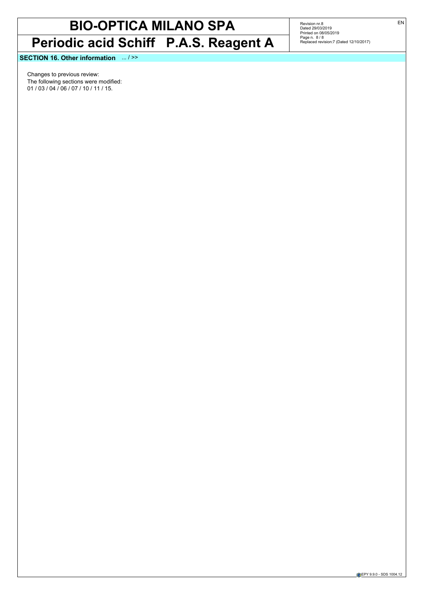## **BIO-OPTICA MILANO SPA Periodic acid Schiff P.A.S. Reagent A**

Revision nr.8<br>Dated 29/03/2019<br>Printed on 08/05/2019<br>Page n. 8 / 8<br>Replaced revision:7 (Dated 12/10/2017)

**SECTION 16. Other information** ... / >>

Changes to previous review: The following sections were modified: 01 / 03 / 04 / 06 / 07 / 10 / 11 / 15.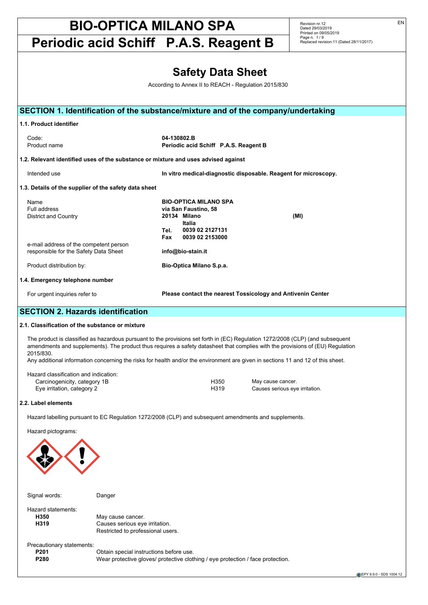**Periodic acid Schiff P.A.S. Reagent B**

Revision nr.12 Dated 29/03/2019 Printed on 09/05/2019 Page n. 1 / 9 Replaced revision:11 (Dated 28/11/2017)

| <b>Safety Data Sheet</b>                                                                              |                                                     |             |                                       |                                                                                                                                                                                                                                                                                                                                                                                                      |  |
|-------------------------------------------------------------------------------------------------------|-----------------------------------------------------|-------------|---------------------------------------|------------------------------------------------------------------------------------------------------------------------------------------------------------------------------------------------------------------------------------------------------------------------------------------------------------------------------------------------------------------------------------------------------|--|
|                                                                                                       |                                                     |             |                                       |                                                                                                                                                                                                                                                                                                                                                                                                      |  |
| According to Annex II to REACH - Regulation 2015/830                                                  |                                                     |             |                                       |                                                                                                                                                                                                                                                                                                                                                                                                      |  |
|                                                                                                       |                                                     |             |                                       | SECTION 1. Identification of the substance/mixture and of the company/undertaking                                                                                                                                                                                                                                                                                                                    |  |
|                                                                                                       |                                                     |             |                                       |                                                                                                                                                                                                                                                                                                                                                                                                      |  |
| 1.1. Product identifier                                                                               |                                                     |             |                                       |                                                                                                                                                                                                                                                                                                                                                                                                      |  |
| Code:<br>Product name                                                                                 |                                                     | 04-130802.B | Periodic acid Schiff P.A.S. Reagent B |                                                                                                                                                                                                                                                                                                                                                                                                      |  |
| 1.2. Relevant identified uses of the substance or mixture and uses advised against                    |                                                     |             |                                       |                                                                                                                                                                                                                                                                                                                                                                                                      |  |
| Intended use                                                                                          |                                                     |             |                                       | In vitro medical-diagnostic disposable. Reagent for microscopy.                                                                                                                                                                                                                                                                                                                                      |  |
| 1.3. Details of the supplier of the safety data sheet                                                 |                                                     |             |                                       |                                                                                                                                                                                                                                                                                                                                                                                                      |  |
| Name                                                                                                  |                                                     |             | <b>BIO-OPTICA MILANO SPA</b>          |                                                                                                                                                                                                                                                                                                                                                                                                      |  |
| Full address                                                                                          |                                                     |             | via San Faustino, 58                  |                                                                                                                                                                                                                                                                                                                                                                                                      |  |
| <b>District and Country</b>                                                                           |                                                     |             | 20134 Milano<br>Italia                | (MI)                                                                                                                                                                                                                                                                                                                                                                                                 |  |
|                                                                                                       |                                                     | Tel.        | 0039 02 2127131                       |                                                                                                                                                                                                                                                                                                                                                                                                      |  |
| e-mail address of the competent person                                                                |                                                     | Fax         | 0039 02 2153000                       |                                                                                                                                                                                                                                                                                                                                                                                                      |  |
| responsible for the Safety Data Sheet                                                                 |                                                     |             | info@bio-stain.it                     |                                                                                                                                                                                                                                                                                                                                                                                                      |  |
| Product distribution by:                                                                              |                                                     |             | Bio-Optica Milano S.p.a.              |                                                                                                                                                                                                                                                                                                                                                                                                      |  |
| 1.4. Emergency telephone number                                                                       |                                                     |             |                                       |                                                                                                                                                                                                                                                                                                                                                                                                      |  |
| For urgent inquiries refer to                                                                         |                                                     |             |                                       | Please contact the nearest Tossicology and Antivenin Center                                                                                                                                                                                                                                                                                                                                          |  |
| <b>SECTION 2. Hazards identification</b>                                                              |                                                     |             |                                       |                                                                                                                                                                                                                                                                                                                                                                                                      |  |
| 2.1. Classification of the substance or mixture                                                       |                                                     |             |                                       |                                                                                                                                                                                                                                                                                                                                                                                                      |  |
| 2015/830.                                                                                             |                                                     |             |                                       | The product is classified as hazardous pursuant to the provisions set forth in (EC) Regulation 1272/2008 (CLP) (and subsequent<br>amendments and supplements). The product thus requires a safety datasheet that complies with the provisions of (EU) Regulation<br>Any additional information concerning the risks for health and/or the environment are given in sections 11 and 12 of this sheet. |  |
| Hazard classification and indication:                                                                 |                                                     |             |                                       |                                                                                                                                                                                                                                                                                                                                                                                                      |  |
| Carcinogenicity, category 1B<br>Eye irritation, category 2                                            |                                                     |             | H350<br>H319                          | May cause cancer.<br>Causes serious eye irritation.                                                                                                                                                                                                                                                                                                                                                  |  |
| 2.2. Label elements                                                                                   |                                                     |             |                                       |                                                                                                                                                                                                                                                                                                                                                                                                      |  |
| Hazard labelling pursuant to EC Regulation 1272/2008 (CLP) and subsequent amendments and supplements. |                                                     |             |                                       |                                                                                                                                                                                                                                                                                                                                                                                                      |  |
| Hazard pictograms:                                                                                    |                                                     |             |                                       |                                                                                                                                                                                                                                                                                                                                                                                                      |  |
|                                                                                                       |                                                     |             |                                       |                                                                                                                                                                                                                                                                                                                                                                                                      |  |
|                                                                                                       |                                                     |             |                                       |                                                                                                                                                                                                                                                                                                                                                                                                      |  |
| Signal words:                                                                                         | Danger                                              |             |                                       |                                                                                                                                                                                                                                                                                                                                                                                                      |  |
| Hazard statements:                                                                                    |                                                     |             |                                       |                                                                                                                                                                                                                                                                                                                                                                                                      |  |
| H350<br>H319                                                                                          | May cause cancer.<br>Causes serious eye irritation. |             |                                       |                                                                                                                                                                                                                                                                                                                                                                                                      |  |
|                                                                                                       | Restricted to professional users.                   |             |                                       |                                                                                                                                                                                                                                                                                                                                                                                                      |  |

Precautionary statements:

**P201** Obtain special instructions before use.<br>**P280** OVear protective gloves/ protective clot Wear protective gloves/ protective clothing / eye protection / face protection.

EPY 9.9.0 - SDS 1004.12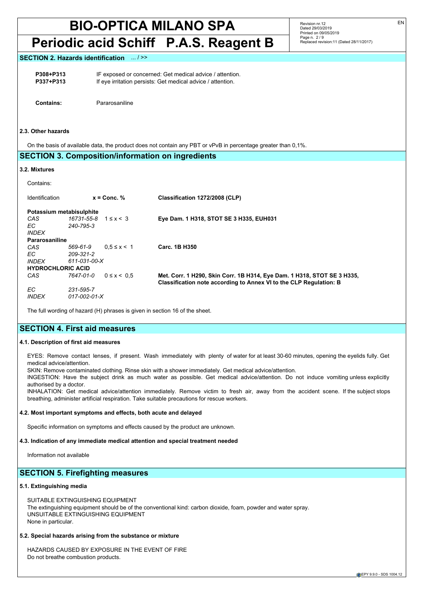## **Periodic acid Schiff P.A.S. Reagent B**

Revision nr.12 Dated 29/03/2019 Printed on 09/05/2019 Page n. 2 / 9 Replaced revision:11 (Dated 28/11/2017)

#### **SECTION 2. Hazards identification**

**P308+P313** IF exposed or concerned: Get medical advice / attention.<br>**P337+P313** If eve irritation persists: Get medical advice / attention. If eye irritation persists: Get medical advice / attention.

**Contains:** Pararosaniline

#### **2.3. Other hazards**

On the basis of available data, the product does not contain any PBT or vPvB in percentage greater than 0,1%.

### **SECTION 3. Composition/information on ingredients**

#### **3.2. Mixtures**

| Contains:                |                                    |                   |                                                                         |
|--------------------------|------------------------------------|-------------------|-------------------------------------------------------------------------|
| Identification           |                                    | $x =$ Conc. %     | Classification 1272/2008 (CLP)                                          |
|                          | Potassium metabisulphite           |                   |                                                                         |
| CAS                      | $16731 - 55 - 8$ 1 $\leq x \leq 3$ |                   | Eye Dam. 1 H318, STOT SE 3 H335, EUH031                                 |
| EC.                      | 240-795-3                          |                   |                                                                         |
| <b>INDEX</b>             |                                    |                   |                                                                         |
| Pararosaniline           |                                    |                   |                                                                         |
| CAS                      | 569-61-9                           | $0.5 \le x \le 1$ | Carc. 1B H350                                                           |
| EC.                      | 209-321-2                          |                   |                                                                         |
| <i><b>INDEX</b></i>      | 611-031-00-X                       |                   |                                                                         |
| <b>HYDROCHLORIC ACID</b> |                                    |                   |                                                                         |
| CAS                      | 7647-01-0                          | $0 \le x \le 0.5$ | Met. Corr. 1 H290, Skin Corr. 1B H314, Eye Dam. 1 H318, STOT SE 3 H335, |
|                          |                                    |                   | Classification note according to Annex VI to the CLP Regulation: B      |
| EC.                      | 231-595-7                          |                   |                                                                         |
| <b>INDEX</b>             | $017 - 002 - 01 - X$               |                   |                                                                         |

The full wording of hazard (H) phrases is given in section 16 of the sheet.

## **SECTION 4. First aid measures**

#### **4.1. Description of first aid measures**

EYES: Remove contact lenses, if present. Wash immediately with plenty of water for at least 30-60 minutes, opening the eyelids fully. Get medical advice/attention.

SKIN: Remove contaminated clothing. Rinse skin with a shower immediately. Get medical advice/attention.

INGESTION: Have the subject drink as much water as possible. Get medical advice/attention. Do not induce vomiting unless explicitly authorised by a doctor.

INHALATION: Get medical advice/attention immediately. Remove victim to fresh air, away from the accident scene. If the subject stops breathing, administer artificial respiration. Take suitable precautions for rescue workers.

#### **4.2. Most important symptoms and effects, both acute and delayed**

Specific information on symptoms and effects caused by the product are unknown.

#### **4.3. Indication of any immediate medical attention and special treatment needed**

Information not available

### **SECTION 5. Firefighting measures**

#### **5.1. Extinguishing media**

SUITABLE EXTINGUISHING EQUIPMENT The extinguishing equipment should be of the conventional kind: carbon dioxide, foam, powder and water spray. UNSUITABLE EXTINGUISHING EQUIPMENT None in particular.

#### **5.2. Special hazards arising from the substance or mixture**

HAZARDS CAUSED BY EXPOSURE IN THE EVENT OF FIRE Do not breathe combustion products.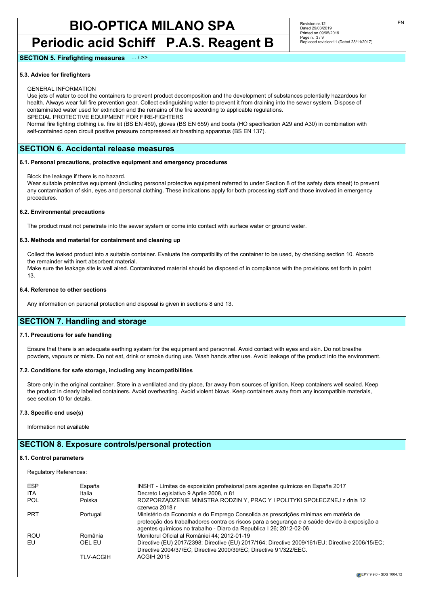## **Periodic acid Schiff P.A.S. Reagent B**

#### **SECTION 5. Firefighting measures** ... / >>

#### **5.3. Advice for firefighters**

#### GENERAL INFORMATION

Use jets of water to cool the containers to prevent product decomposition and the development of substances potentially hazardous for health. Always wear full fire prevention gear. Collect extinguishing water to prevent it from draining into the sewer system. Dispose of contaminated water used for extinction and the remains of the fire according to applicable regulations.

SPECIAL PROTECTIVE EQUIPMENT FOR FIRE-FIGHTERS

Normal fire fighting clothing i.e. fire kit (BS EN 469), gloves (BS EN 659) and boots (HO specification A29 and A30) in combination with self-contained open circuit positive pressure compressed air breathing apparatus (BS EN 137).

## **SECTION 6. Accidental release measures**

#### **6.1. Personal precautions, protective equipment and emergency procedures**

#### Block the leakage if there is no hazard.

Wear suitable protective equipment (including personal protective equipment referred to under Section 8 of the safety data sheet) to prevent any contamination of skin, eyes and personal clothing. These indications apply for both processing staff and those involved in emergency procedures.

#### **6.2. Environmental precautions**

The product must not penetrate into the sewer system or come into contact with surface water or ground water.

#### **6.3. Methods and material for containment and cleaning up**

Collect the leaked product into a suitable container. Evaluate the compatibility of the container to be used, by checking section 10. Absorb the remainder with inert absorbent material. Make sure the leakage site is well aired. Contaminated material should be disposed of in compliance with the provisions set forth in point 13.

#### **6.4. Reference to other sections**

Any information on personal protection and disposal is given in sections 8 and 13.

## **SECTION 7. Handling and storage**

#### **7.1. Precautions for safe handling**

Ensure that there is an adequate earthing system for the equipment and personnel. Avoid contact with eyes and skin. Do not breathe powders, vapours or mists. Do not eat, drink or smoke during use. Wash hands after use. Avoid leakage of the product into the environment.

#### **7.2. Conditions for safe storage, including any incompatibilities**

Store only in the original container. Store in a ventilated and dry place, far away from sources of ignition. Keep containers well sealed. Keep the product in clearly labelled containers. Avoid overheating. Avoid violent blows. Keep containers away from any incompatible materials, see section 10 for details.

#### **7.3. Specific end use(s)**

Information not available

### **SECTION 8. Exposure controls/personal protection**

#### **8.1. Control parameters**

Regulatory References:

| <b>ESP</b> | España           | INSHT - Límites de exposición profesional para agentes guímicos en España 2017                                                                                                                                                                           |
|------------|------------------|----------------------------------------------------------------------------------------------------------------------------------------------------------------------------------------------------------------------------------------------------------|
| <b>ITA</b> | Italia           | Decreto Legislativo 9 Aprile 2008, n.81                                                                                                                                                                                                                  |
| <b>POL</b> | Polska           | ROZPORZĄDZENIE MINISTRA RODZINY, PRACY I POLITYKI SPOŁECZNEJ z dnia 12<br>czerwca 2018 r                                                                                                                                                                 |
| <b>PRT</b> | Portugal         | Ministério da Economia e do Emprego Consolida as prescrições mínimas em matéria de<br>protecção dos trabalhadores contra os riscos para a segurança e a saúde devido à exposição a<br>agentes químicos no trabalho - Diaro da Republica I 26; 2012-02-06 |
| <b>ROU</b> | România          | Monitorul Oficial al României 44; 2012-01-19                                                                                                                                                                                                             |
| EU         | OEL EU           | Directive (EU) 2017/2398; Directive (EU) 2017/164; Directive 2009/161/EU; Directive 2006/15/EC;<br>Directive 2004/37/EC; Directive 2000/39/EC; Directive 91/322/EEC.                                                                                     |
|            | <b>TLV-ACGIH</b> | ACGIH 2018                                                                                                                                                                                                                                               |

EN

Revision nr.12 Dated 29/03/2019 Printed on 09/05/2019 Page n. 3 / 9

Replaced revision:11 (Dated 28/11/2017)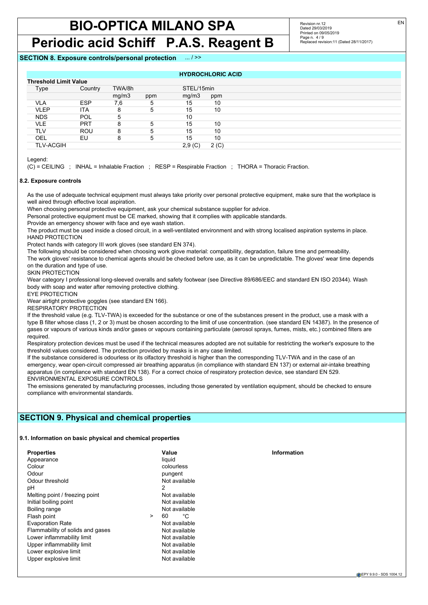## **BIO-OPTICA MILANO SPA Periodic acid Schiff P.A.S. Reagent B**

Revision nr.12 Dated 29/03/2019 Printed on 09/05/2019 Page n. 4/9 Replaced revision:11 (Dated 28/11/2017)

### **SECTION 8. Exposure controls/personal protection** ... / >>

|                              |            |        |     | <b>HYDROCHLORIC ACID</b> |      |  |
|------------------------------|------------|--------|-----|--------------------------|------|--|
| <b>Threshold Limit Value</b> |            |        |     |                          |      |  |
| Type                         | Country    | TWA/8h |     | STEL/15min               |      |  |
|                              |            | mg/m3  | ppm | mg/m3                    | ppm  |  |
| VLA                          | <b>ESP</b> | 7,6    | b   | 15                       | 10   |  |
| <b>VLEP</b>                  | <b>ITA</b> | 8      | 5   | 15                       | 10   |  |
| <b>NDS</b>                   | <b>POL</b> | 5      |     | 10                       |      |  |
| VLE                          | <b>PRT</b> | 8      | 5   | 15                       | 10   |  |
| TLV                          | ROU        | 8      | 5   | 15                       | 10   |  |
| OEL                          | EU         | 8      | 5   | 15                       | 10   |  |
| <b>TLV-ACGIH</b>             |            |        |     | 2,9(C)                   | 2(C) |  |

Legend:

(C) = CEILING ; INHAL = Inhalable Fraction ; RESP = Respirable Fraction ; THORA = Thoracic Fraction.

#### **8.2. Exposure controls**

As the use of adequate technical equipment must always take priority over personal protective equipment, make sure that the workplace is well aired through effective local aspiration.

When choosing personal protective equipment, ask your chemical substance supplier for advice.

Personal protective equipment must be CE marked, showing that it complies with applicable standards.

Provide an emergency shower with face and eye wash station.

The product must be used inside a closed circuit, in a well-ventilated environment and with strong localised aspiration systems in place. HAND PROTECTION

Protect hands with category III work gloves (see standard EN 374).

The following should be considered when choosing work glove material: compatibility, degradation, failure time and permeability.

The work gloves' resistance to chemical agents should be checked before use, as it can be unpredictable. The gloves' wear time depends on the duration and type of use.

SKIN PROTECTION

Wear category I professional long-sleeved overalls and safety footwear (see Directive 89/686/EEC and standard EN ISO 20344). Wash body with soap and water after removing protective clothing.

EYE PROTECTION

Wear airtight protective goggles (see standard EN 166).

RESPIRATORY PROTECTION

If the threshold value (e.g. TLV-TWA) is exceeded for the substance or one of the substances present in the product, use a mask with a type B filter whose class (1, 2 or 3) must be chosen according to the limit of use concentration. (see standard EN 14387). In the presence of gases or vapours of various kinds and/or gases or vapours containing particulate (aerosol sprays, fumes, mists, etc.) combined filters are required.

Respiratory protection devices must be used if the technical measures adopted are not suitable for restricting the worker's exposure to the threshold values considered. The protection provided by masks is in any case limited.

If the substance considered is odourless or its olfactory threshold is higher than the corresponding TLV-TWA and in the case of an emergency, wear open-circuit compressed air breathing apparatus (in compliance with standard EN 137) or external air-intake breathing apparatus (in compliance with standard EN 138). For a correct choice of respiratory protection device, see standard EN 529. ENVIRONMENTAL EXPOSURE CONTROLS

The emissions generated by manufacturing processes, including those generated by ventilation equipment, should be checked to ensure compliance with environmental standards.

## **SECTION 9. Physical and chemical properties**

#### **9.1. Information on basic physical and chemical properties**

| <b>Properties</b>                |        | Value         | Information |
|----------------------------------|--------|---------------|-------------|
| Appearance                       |        | liauid        |             |
| Colour                           |        | colourless    |             |
| Odour                            |        | pungent       |             |
| Odour threshold                  |        | Not available |             |
| рH                               |        | 2             |             |
| Melting point / freezing point   |        | Not available |             |
| Initial boiling point            |        | Not available |             |
| Boiling range                    |        | Not available |             |
| Flash point                      | $\geq$ | °C<br>60      |             |
| <b>Evaporation Rate</b>          |        | Not available |             |
| Flammability of solids and gases |        | Not available |             |
| Lower inflammability limit       |        | Not available |             |
| Upper inflammability limit       |        | Not available |             |
| Lower explosive limit            |        | Not available |             |
| Upper explosive limit            |        | Not available |             |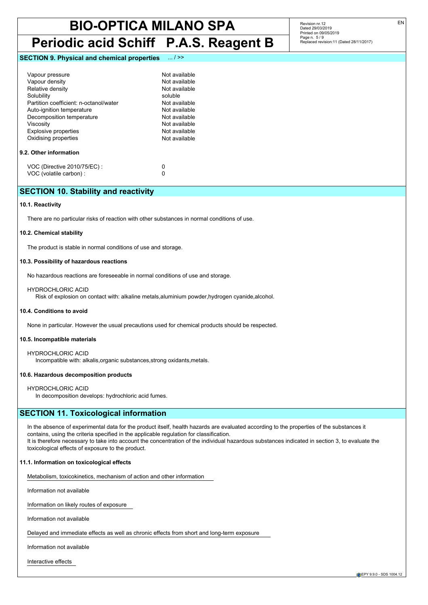## **Periodic acid Schiff P.A.S. Reagent B**

#### **SECTION 9. Physical and chemical properties** ... / >>

| Vapour pressure<br>Vapour density      | Not available<br>Not available |
|----------------------------------------|--------------------------------|
| Relative density                       | Not available                  |
| Solubility                             | soluble                        |
| Partition coefficient: n-octanol/water | Not available                  |
| Auto-ignition temperature              | Not available                  |
| Decomposition temperature              | Not available                  |
| Viscositv                              | Not available                  |
| <b>Explosive properties</b>            | Not available                  |
| Oxidising properties                   | Not available                  |
| 9.2. Other information                 |                                |
| VOC (Directive 2010/75/EC) :           | n                              |
| VOC (volatile carbon) :                |                                |

## **SECTION 10. Stability and reactivity**

#### **10.1. Reactivity**

There are no particular risks of reaction with other substances in normal conditions of use.

#### **10.2. Chemical stability**

The product is stable in normal conditions of use and storage.

#### **10.3. Possibility of hazardous reactions**

No hazardous reactions are foreseeable in normal conditions of use and storage.

HYDROCHLORIC ACID

Risk of explosion on contact with: alkaline metals,aluminium powder,hydrogen cyanide,alcohol.

#### **10.4. Conditions to avoid**

None in particular. However the usual precautions used for chemical products should be respected.

#### **10.5. Incompatible materials**

HYDROCHLORIC ACID Incompatible with: alkalis,organic substances,strong oxidants,metals.

#### **10.6. Hazardous decomposition products**

HYDROCHLORIC ACID In decomposition develops: hydrochloric acid fumes.

### **SECTION 11. Toxicological information**

In the absence of experimental data for the product itself, health hazards are evaluated according to the properties of the substances it contains, using the criteria specified in the applicable regulation for classification. It is therefore necessary to take into account the concentration of the individual hazardous substances indicated in section 3, to evaluate the toxicological effects of exposure to the product.

#### **11.1. Information on toxicological effects**

Metabolism, toxicokinetics, mechanism of action and other information

Information not available

Information on likely routes of exposure

Information not available

Delayed and immediate effects as well as chronic effects from short and long-term exposure

Information not available

Interactive effects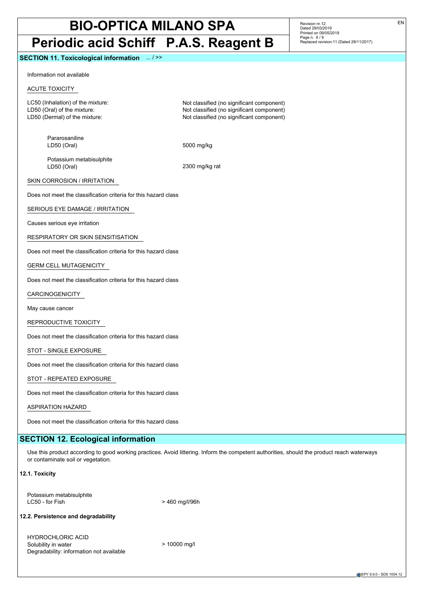## **BIO-OPTICA MILANO SPA Periodic acid Schiff P.A.S. Reagent B**

#### **SECTION 11. Toxicological information** ... / >>

Information not available

### ACUTE TOXICITY

LC50 (Inhalation) of the mixture: Not classified (no significant component) LD50 (Oral) of the mixture:  $\blacksquare$ <br>LD50 (Dermal) of the mixture:  $\blacksquare$  Not classified (no significant component)

Pararosaniline LD50 (Oral) 5000 mg/kg

Not classified (no significant component)

Potassium metabisulphite LD50 (Oral) 2300 mg/kg rat

SKIN CORROSION / IRRITATION

Does not meet the classification criteria for this hazard class

SERIOUS EYE DAMAGE / IRRITATION

Causes serious eye irritation

RESPIRATORY OR SKIN SENSITISATION

Does not meet the classification criteria for this hazard class

GERM CELL MUTAGENICITY

Does not meet the classification criteria for this hazard class

CARCINOGENICITY

May cause cancer

REPRODUCTIVE TOXICITY

Does not meet the classification criteria for this hazard class

STOT - SINGLE EXPOSURE

Does not meet the classification criteria for this hazard class

STOT - REPEATED EXPOSURE

Does not meet the classification criteria for this hazard class

ASPIRATION HAZARD

Does not meet the classification criteria for this hazard class

## **SECTION 12. Ecological information**

Use this product according to good working practices. Avoid littering. Inform the competent authorities, should the product reach waterways or contaminate soil or vegetation.

#### **12.1. Toxicity**

Potassium metabisulphite  $LC50 - for Fish$   $> 460$  mg/l/96h

#### **12.2. Persistence and degradability**

HYDROCHLORIC ACID Solubility in water  $> 10000$  mg/l Degradability: information not available

Revision nr.12 Dated 29/03/2019 Printed on 09/05/2019 Page n. 6/9 Replaced revision:11 (Dated 28/11/2017)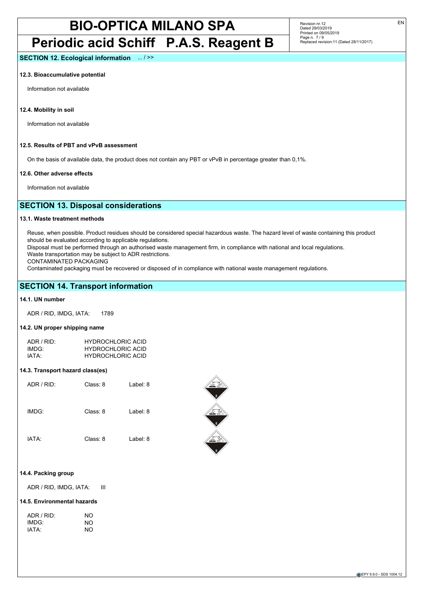## **Periodic acid Schiff P.A.S. Reagent B**

Revision nr.12 Dated 29/03/2019 Printed on 09/05/2019 Page n. 7 / 9 Replaced revision:11 (Dated 28/11/2017)

**SECTION 12. Ecological information** ... / >>

#### **12.3. Bioaccumulative potential**

Information not available

**12.4. Mobility in soil**

Information not available

### **12.5. Results of PBT and vPvB assessment**

On the basis of available data, the product does not contain any PBT or vPvB in percentage greater than 0,1%.

#### **12.6. Other adverse effects**

Information not available

## **SECTION 13. Disposal considerations**

#### **13.1. Waste treatment methods**

Reuse, when possible. Product residues should be considered special hazardous waste. The hazard level of waste containing this product should be evaluated according to applicable regulations.

Disposal must be performed through an authorised waste management firm, in compliance with national and local regulations.

Waste transportation may be subject to ADR restrictions.

CONTAMINATED PACKAGING

Contaminated packaging must be recovered or disposed of in compliance with national waste management regulations.

### **SECTION 14. Transport information**

#### **14.1. UN number**

ADR / RID, IMDG, IATA: 1789

#### **14.2. UN proper shipping name**

| ADR/RID:          | <b>HYDROCHLORIC ACID</b> |
|-------------------|--------------------------|
| IMDG <sup>.</sup> | <b>HYDROCHLORIC ACID</b> |
| IATA:             | <b>HYDROCHLORIC ACID</b> |

#### **14.3. Transport hazard class(es)**

| ADR / RID: | Class: 8 | Label: 8 |
|------------|----------|----------|
| IMDG:      | Class: 8 | Label: 8 |
| IATA:      | Class: 8 | Label: 8 |



#### **14.4. Packing group**

ADR / RID, IMDG, IATA: III

#### **14.5. Environmental hazards**

| NO |
|----|
| NO |
| NΟ |
|    |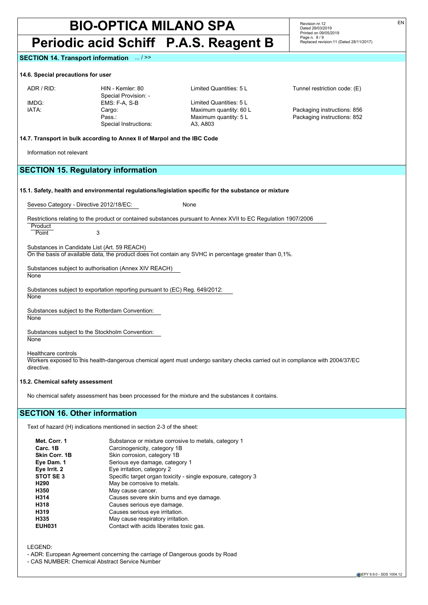## **Periodic acid Schiff P.A.S. Reagent B**

#### **SECTION 14. Transport information** ... / >>

#### **14.6. Special precautions for user**

Special Provision: -<br>EMS: F-A, S-B IMDG: EMS: F-A, S-B Limited Quantities: 5 L IATA: Cargo: Maximum quantity: 60 L Packaging instructions: 856 Special Instructions: A3, A803

ADR / RID: HIN - Kemler: 80 Limited Quantities: 5 L Tunnel restriction code: (E)

Replaced revision:11 (Dated 28/11/2017)

Revision nr.12 Dated 29/03/2019 Printed on 09/05/2019 Page n. 8/9

Pass.: Maximum quantity: 5 L Packaging instructions: 852

#### **14.7. Transport in bulk according to Annex II of Marpol and the IBC Code**

Information not relevant

## **SECTION 15. Regulatory information**

|  | 15.1. Safety, health and environmental regulations/legislation specific for the substance or mixture |
|--|------------------------------------------------------------------------------------------------------|
|--|------------------------------------------------------------------------------------------------------|

Seveso Category - Directive 2012/18/EC: None

Restrictions relating to the product or contained substances pursuant to Annex XVII to EC Regulation 1907/2006

Product Point 3

Substances in Candidate List (Art. 59 REACH)

On the basis of available data, the product does not contain any SVHC in percentage greater than 0,1%.

Substances subject to authorisation (Annex XIV REACH)

**None** 

Substances subject to exportation reporting pursuant to (EC) Reg. 649/2012:

**None** 

Substances subject to the Rotterdam Convention: None

Substances subject to the Stockholm Convention: **None** 

Healthcare controls

Workers exposed to this health-dangerous chemical agent must undergo sanitary checks carried out in compliance with 2004/37/EC directive.

### **15.2. Chemical safety assessment**

No chemical safety assessment has been processed for the mixture and the substances it contains.

## **SECTION 16. Other information**

Text of hazard (H) indications mentioned in section 2-3 of the sheet:

| Met. Corr. 1     | Substance or mixture corrosive to metals, category 1         |
|------------------|--------------------------------------------------------------|
| Carc. 1B         | Carcinogenicity, category 1B                                 |
| Skin Corr. 1B    | Skin corrosion, category 1B                                  |
| Eye Dam. 1       | Serious eye damage, category 1                               |
| Eye Irrit. 2     | Eye irritation, category 2                                   |
| STOT SE3         | Specific target organ toxicity - single exposure, category 3 |
| H <sub>290</sub> | May be corrosive to metals.                                  |
| H350             | May cause cancer.                                            |
| H314             | Causes severe skin burns and eye damage.                     |
| H318             | Causes serious eye damage.                                   |
| H319             | Causes serious eye irritation.                               |
| H335             | May cause respiratory irritation.                            |
| <b>EUH031</b>    | Contact with acids liberates toxic gas.                      |

LEGEND:

- ADR: European Agreement concerning the carriage of Dangerous goods by Road

- CAS NUMBER: Chemical Abstract Service Number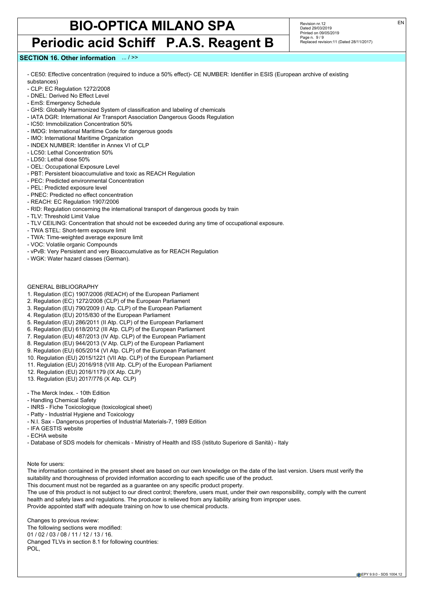## **Periodic acid Schiff P.A.S. Reagent B**

Revision nr.12 Dated 29/03/2019 Printed on 09/05/2019 Page n. 9/9 Replaced revision:11 (Dated 28/11/2017)

## **SECTION 16. Other information** ... / >>

- CE50: Effective concentration (required to induce a 50% effect)- CE NUMBER: Identifier in ESIS (European archive of existing substances)

- CLP: EC Regulation 1272/2008
- DNEL: Derived No Effect Level
- EmS: Emergency Schedule
- GHS: Globally Harmonized System of classification and labeling of chemicals
- IATA DGR: International Air Transport Association Dangerous Goods Regulation
- IC50: Immobilization Concentration 50%
- IMDG: International Maritime Code for dangerous goods
- IMO: International Maritime Organization
- INDEX NUMBER: Identifier in Annex VI of CLP
- LC50: Lethal Concentration 50%
- LD50: Lethal dose 50%
- OEL: Occupational Exposure Level
- PBT: Persistent bioaccumulative and toxic as REACH Regulation
- PEC: Predicted environmental Concentration
- PEL: Predicted exposure level
- PNEC: Predicted no effect concentration
- REACH: EC Regulation 1907/2006
- RID: Regulation concerning the international transport of dangerous goods by train
- TLV: Threshold Limit Value
- TLV CEILING: Concentration that should not be exceeded during any time of occupational exposure.
- TWA STEL: Short-term exposure limit
- TWA: Time-weighted average exposure limit
- VOC: Volatile organic Compounds
- vPvB: Very Persistent and very Bioaccumulative as for REACH Regulation
- WGK: Water hazard classes (German).

#### GENERAL BIBLIOGRAPHY

- 1. Regulation (EC) 1907/2006 (REACH) of the European Parliament
- 2. Regulation (EC) 1272/2008 (CLP) of the European Parliament
- 3. Regulation (EU) 790/2009 (I Atp. CLP) of the European Parliament
- 4. Regulation (EU) 2015/830 of the European Parliament
- 5. Regulation (EU) 286/2011 (II Atp. CLP) of the European Parliament
- 6. Regulation (EU) 618/2012 (III Atp. CLP) of the European Parliament
- 7. Regulation (EU) 487/2013 (IV Atp. CLP) of the European Parliament
- 8. Regulation (EU) 944/2013 (V Atp. CLP) of the European Parliament
- 9. Regulation (EU) 605/2014 (VI Atp. CLP) of the European Parliament
- 10. Regulation (EU) 2015/1221 (VII Atp. CLP) of the European Parliament
- 11. Regulation (EU) 2016/918 (VIII Atp. CLP) of the European Parliament
- 12. Regulation (EU) 2016/1179 (IX Atp. CLP)
- 13. Regulation (EU) 2017/776 (X Atp. CLP)
- The Merck Index. 10th Edition
- Handling Chemical Safety
- INRS Fiche Toxicologique (toxicological sheet)
- Patty Industrial Hygiene and Toxicology
- N.I. Sax Dangerous properties of Industrial Materials-7, 1989 Edition
- IFA GESTIS website
- ECHA website

- Database of SDS models for chemicals - Ministry of Health and ISS (Istituto Superiore di Sanità) - Italy

Note for users:

The information contained in the present sheet are based on our own knowledge on the date of the last version. Users must verify the suitability and thoroughness of provided information according to each specific use of the product.

This document must not be regarded as a guarantee on any specific product property.

The use of this product is not subject to our direct control; therefore, users must, under their own responsibility, comply with the current health and safety laws and regulations. The producer is relieved from any liability arising from improper uses. Provide appointed staff with adequate training on how to use chemical products.

Changes to previous review: The following sections were modified: 01 / 02 / 03 / 08 / 11 / 12 / 13 / 16. Changed TLVs in section 8.1 for following countries: POL,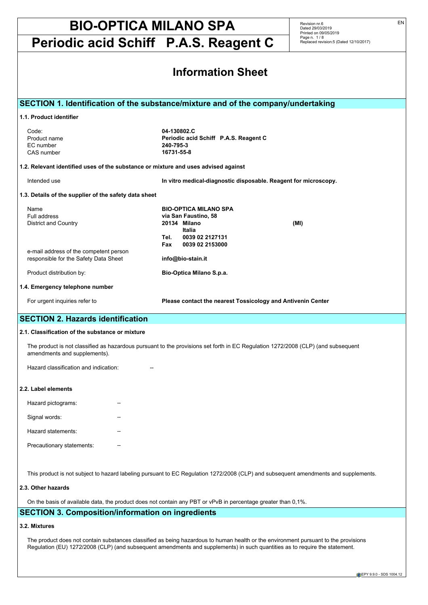**Periodic acid Schiff P.A.S. Reagent C**

Revision nr.6 Dated 29/03/2019 Printed on 09/05/2019 Page n. 1 / 8 Replaced revision:5 (Dated 12/10/2017)

| <b>Information Sheet</b>                                                                                                                                    |                                                                                                                                                                                              |  |  |  |
|-------------------------------------------------------------------------------------------------------------------------------------------------------------|----------------------------------------------------------------------------------------------------------------------------------------------------------------------------------------------|--|--|--|
|                                                                                                                                                             | SECTION 1. Identification of the substance/mixture and of the company/undertaking                                                                                                            |  |  |  |
| 1.1. Product identifier                                                                                                                                     |                                                                                                                                                                                              |  |  |  |
| Code:<br>Product name<br>EC number<br>CAS number<br>1.2. Relevant identified uses of the substance or mixture and uses advised against                      | 04-130802.C<br>Periodic acid Schiff P.A.S. Reagent C<br>240-795-3<br>16731-55-8                                                                                                              |  |  |  |
| Intended use                                                                                                                                                | In vitro medical-diagnostic disposable. Reagent for microscopy.                                                                                                                              |  |  |  |
| 1.3. Details of the supplier of the safety data sheet                                                                                                       |                                                                                                                                                                                              |  |  |  |
| Name<br>Full address<br>District and Country<br>e-mail address of the competent person<br>responsible for the Safety Data Sheet<br>Product distribution by: | <b>BIO-OPTICA MILANO SPA</b><br>via San Faustino, 58<br>20134 Milano<br>(MI)<br>Italia<br>0039 02 2127131<br>Tel.<br>0039 02 2153000<br>Fax<br>info@bio-stain.it<br>Bio-Optica Milano S.p.a. |  |  |  |
| 1.4. Emergency telephone number                                                                                                                             |                                                                                                                                                                                              |  |  |  |
| For urgent inquiries refer to                                                                                                                               | Please contact the nearest Tossicology and Antivenin Center                                                                                                                                  |  |  |  |
| <b>SECTION 2. Hazards identification</b>                                                                                                                    |                                                                                                                                                                                              |  |  |  |
| 2.1. Classification of the substance or mixture                                                                                                             |                                                                                                                                                                                              |  |  |  |
| amendments and supplements).                                                                                                                                | The product is not classified as hazardous pursuant to the provisions set forth in EC Regulation 1272/2008 (CLP) (and subsequent                                                             |  |  |  |
| Hazard classification and indication:                                                                                                                       |                                                                                                                                                                                              |  |  |  |
| 2.2. Label elements                                                                                                                                         |                                                                                                                                                                                              |  |  |  |
| Hazard pictograms:                                                                                                                                          |                                                                                                                                                                                              |  |  |  |
| Signal words:                                                                                                                                               |                                                                                                                                                                                              |  |  |  |
| Hazard statements:                                                                                                                                          |                                                                                                                                                                                              |  |  |  |
| Precautionary statements:                                                                                                                                   |                                                                                                                                                                                              |  |  |  |
| 2.3. Other hazards                                                                                                                                          | This product is not subject to hazard labeling pursuant to EC Regulation 1272/2008 (CLP) and subsequent amendments and supplements.                                                          |  |  |  |

On the basis of available data, the product does not contain any PBT or vPvB in percentage greater than 0,1%.

## **SECTION 3. Composition/information on ingredients**

### **3.2. Mixtures**

The product does not contain substances classified as being hazardous to human health or the environment pursuant to the provisions Regulation (EU) 1272/2008 (CLP) (and subsequent amendments and supplements) in such quantities as to require the statement.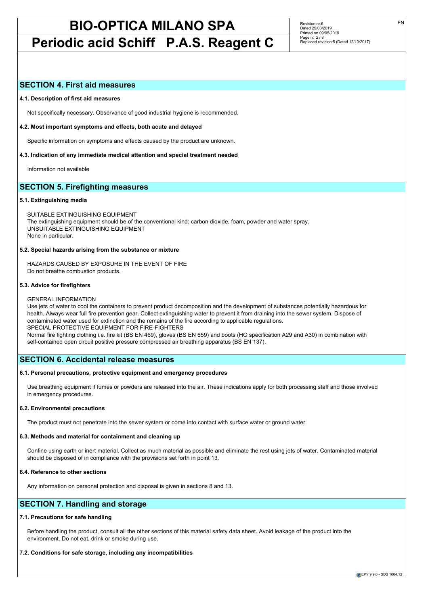## **Periodic acid Schiff P.A.S. Reagent C**

Revision nr.6 Dated 29/03/2019 Printed on 09/05/2019 Page n. 2 / 8 Replaced revision:5 (Dated 12/10/2017)

### **SECTION 4. First aid measures**

#### **4.1. Description of first aid measures**

Not specifically necessary. Observance of good industrial hygiene is recommended.

#### **4.2. Most important symptoms and effects, both acute and delayed**

Specific information on symptoms and effects caused by the product are unknown.

#### **4.3. Indication of any immediate medical attention and special treatment needed**

Information not available

## **SECTION 5. Firefighting measures**

#### **5.1. Extinguishing media**

SUITABLE EXTINGUISHING EQUIPMENT The extinguishing equipment should be of the conventional kind: carbon dioxide, foam, powder and water spray. UNSUITABLE EXTINGUISHING EQUIPMENT None in particular.

#### **5.2. Special hazards arising from the substance or mixture**

HAZARDS CAUSED BY EXPOSURE IN THE EVENT OF FIRE Do not breathe combustion products.

#### **5.3. Advice for firefighters**

#### GENERAL INFORMATION

Use jets of water to cool the containers to prevent product decomposition and the development of substances potentially hazardous for health. Always wear full fire prevention gear. Collect extinguishing water to prevent it from draining into the sewer system. Dispose of contaminated water used for extinction and the remains of the fire according to applicable regulations. SPECIAL PROTECTIVE EQUIPMENT FOR FIRE-FIGHTERS Normal fire fighting clothing i.e. fire kit (BS EN 469), gloves (BS EN 659) and boots (HO specification A29 and A30) in combination with

## **SECTION 6. Accidental release measures**

#### **6.1. Personal precautions, protective equipment and emergency procedures**

self-contained open circuit positive pressure compressed air breathing apparatus (BS EN 137).

Use breathing equipment if fumes or powders are released into the air. These indications apply for both processing staff and those involved in emergency procedures.

#### **6.2. Environmental precautions**

The product must not penetrate into the sewer system or come into contact with surface water or ground water.

#### **6.3. Methods and material for containment and cleaning up**

Confine using earth or inert material. Collect as much material as possible and eliminate the rest using jets of water. Contaminated material should be disposed of in compliance with the provisions set forth in point 13.

## **6.4. Reference to other sections**

Any information on personal protection and disposal is given in sections 8 and 13.

## **SECTION 7. Handling and storage**

#### **7.1. Precautions for safe handling**

Before handling the product, consult all the other sections of this material safety data sheet. Avoid leakage of the product into the environment. Do not eat, drink or smoke during use.

### **7.2. Conditions for safe storage, including any incompatibilities**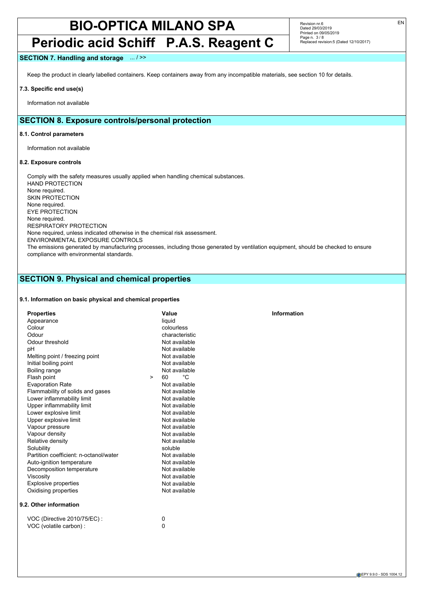## **Periodic acid Schiff P.A.S. Reagent C**

Revision nr.6 Dated 29/03/2019 Printed on 09/05/2019 Page n. 3 / 8 Replaced revision:5 (Dated 12/10/2017)

### **SECTION 7. Handling and storage** ... / >>

Keep the product in clearly labelled containers. Keep containers away from any incompatible materials, see section 10 for details.

#### **7.3. Specific end use(s)**

Information not available

## **SECTION 8. Exposure controls/personal protection**

#### **8.1. Control parameters**

Information not available

#### **8.2. Exposure controls**

Comply with the safety measures usually applied when handling chemical substances. HAND PROTECTION None required. SKIN PROTECTION None required. EYE PROTECTION None required. RESPIRATORY PROTECTION None required, unless indicated otherwise in the chemical risk assessment. ENVIRONMENTAL EXPOSURE CONTROLS The emissions generated by manufacturing processes, including those generated by ventilation equipment, should be checked to ensure compliance with environmental standards.

## **SECTION 9. Physical and chemical properties**

#### **9.1. Information on basic physical and chemical properties**

| <b>Properties</b>                      |        | Value          | Information |
|----------------------------------------|--------|----------------|-------------|
| Appearance                             |        | liquid         |             |
| Colour                                 |        | colourless     |             |
| Odour                                  |        | characteristic |             |
| Odour threshold                        |        | Not available  |             |
| pH                                     |        | Not available  |             |
| Melting point / freezing point         |        | Not available  |             |
| Initial boiling point                  |        | Not available  |             |
| Boiling range                          |        | Not available  |             |
| Flash point                            | $\geq$ | °C<br>60       |             |
| <b>Evaporation Rate</b>                |        | Not available  |             |
| Flammability of solids and gases       |        | Not available  |             |
| Lower inflammability limit             |        | Not available  |             |
| Upper inflammability limit             |        | Not available  |             |
| Lower explosive limit                  |        | Not available  |             |
| Upper explosive limit                  |        | Not available  |             |
| Vapour pressure                        |        | Not available  |             |
| Vapour density                         |        | Not available  |             |
| Relative density                       |        | Not available  |             |
| Solubility                             |        | soluble        |             |
| Partition coefficient: n-octanol/water |        | Not available  |             |
| Auto-ignition temperature              |        | Not available  |             |
| Decomposition temperature              |        | Not available  |             |
| Viscosity                              |        | Not available  |             |
| <b>Explosive properties</b>            |        | Not available  |             |
| Oxidising properties                   |        | Not available  |             |
| 9.2. Other information                 |        |                |             |
| VOC (Directive 2010/75/EC) :           |        | 0              |             |

VOC (volatile carbon) : 0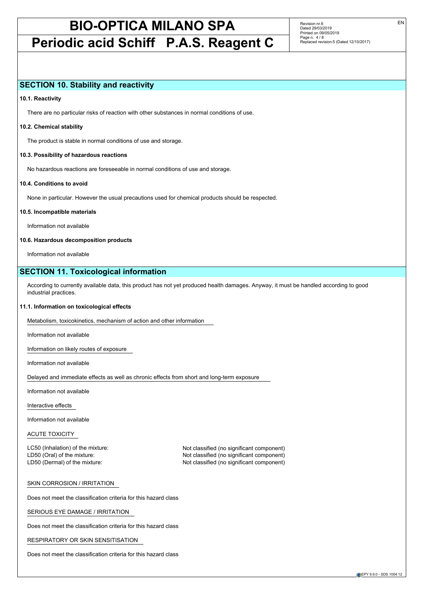## **Periodic acid Schiff P.A.S. Reagent C**

Revision nr.6 Dated 29/03/2019 Printed on 09/05/2019 Page n. 4 / 8 Replaced revision:5 (Dated 12/10/2017)

### **SECTION 10. Stability and reactivity**

#### **10.1. Reactivity**

There are no particular risks of reaction with other substances in normal conditions of use.

#### **10.2. Chemical stability**

The product is stable in normal conditions of use and storage.

#### **10.3. Possibility of hazardous reactions**

No hazardous reactions are foreseeable in normal conditions of use and storage.

#### **10.4. Conditions to avoid**

None in particular. However the usual precautions used for chemical products should be respected.

#### **10.5. Incompatible materials**

Information not available

#### **10.6. Hazardous decomposition products**

Information not available

## **SECTION 11. Toxicological information**

According to currently available data, this product has not yet produced health damages. Anyway, it must be handled according to good industrial practices.

#### **11.1. Information on toxicological effects**

Metabolism, toxicokinetics, mechanism of action and other information

Information not available

Information on likely routes of exposure

Information not available

Delayed and immediate effects as well as chronic effects from short and long-term exposure

Information not available

Interactive effects

Information not available

#### ACUTE TOXICITY

LC50 (Inhalation) of the mixture: Not classified (no significant component)

LD50 (Oral) of the mixture: Not classified (no significant component) LD50 (Dermal) of the mixture: Not classified (no significant component)

#### SKIN CORROSION / IRRITATION

Does not meet the classification criteria for this hazard class

SERIOUS EYE DAMAGE / IRRITATION

Does not meet the classification criteria for this hazard class

RESPIRATORY OR SKIN SENSITISATION

Does not meet the classification criteria for this hazard class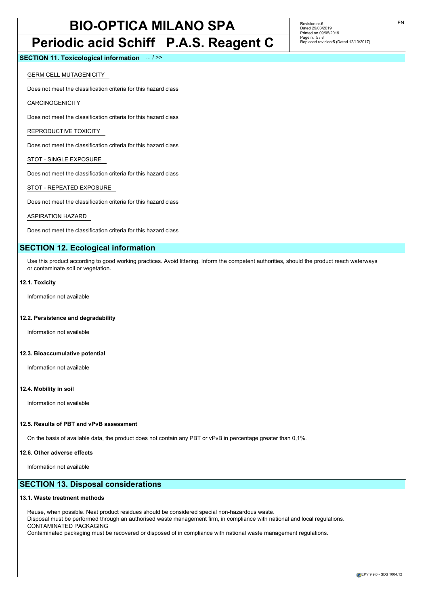## **Periodic acid Schiff P.A.S. Reagent C**

Revision nr.6 Dated 29/03/2019 Printed on 09/05/2019 Page n. 5 / 8 Replaced revision:5 (Dated 12/10/2017)

**SECTION 11. Toxicological information** ... / >>

GERM CELL MUTAGENICITY

Does not meet the classification criteria for this hazard class

CARCINOGENICITY

Does not meet the classification criteria for this hazard class

REPRODUCTIVE TOXICITY

Does not meet the classification criteria for this hazard class

STOT - SINGLE EXPOSURE

Does not meet the classification criteria for this hazard class

STOT - REPEATED EXPOSURE

Does not meet the classification criteria for this hazard class

ASPIRATION HAZARD

Does not meet the classification criteria for this hazard class

## **SECTION 12. Ecological information**

Use this product according to good working practices. Avoid littering. Inform the competent authorities, should the product reach waterways or contaminate soil or vegetation.

#### **12.1. Toxicity**

Information not available

#### **12.2. Persistence and degradability**

Information not available

#### **12.3. Bioaccumulative potential**

Information not available

#### **12.4. Mobility in soil**

Information not available

#### **12.5. Results of PBT and vPvB assessment**

On the basis of available data, the product does not contain any PBT or vPvB in percentage greater than 0,1%.

#### **12.6. Other adverse effects**

Information not available

## **SECTION 13. Disposal considerations**

#### **13.1. Waste treatment methods**

Reuse, when possible. Neat product residues should be considered special non-hazardous waste. Disposal must be performed through an authorised waste management firm, in compliance with national and local regulations. CONTAMINATED PACKAGING Contaminated packaging must be recovered or disposed of in compliance with national waste management regulations.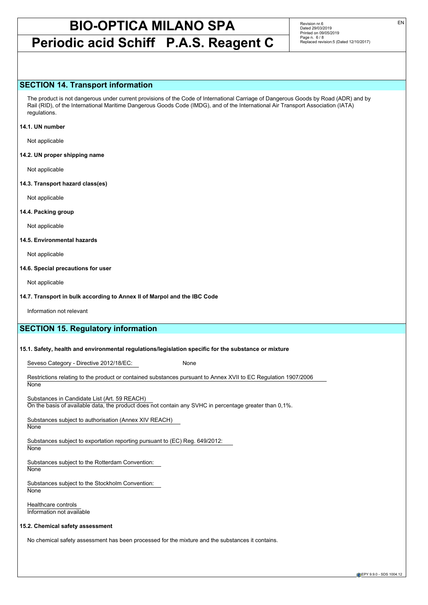## **Periodic acid Schiff P.A.S. Reagent C**

Revision nr.6 Dated 29/03/2019 Printed on 09/05/2019 Page n. 6/8 Replaced revision:5 (Dated 12/10/2017)

### **SECTION 14. Transport information**

The product is not dangerous under current provisions of the Code of International Carriage of Dangerous Goods by Road (ADR) and by Rail (RID), of the International Maritime Dangerous Goods Code (IMDG), and of the International Air Transport Association (IATA) regulations.

#### **14.1. UN number**

Not applicable

**14.2. UN proper shipping name**

Not applicable

**14.3. Transport hazard class(es)**

Not applicable

#### **14.4. Packing group**

Not applicable

#### **14.5. Environmental hazards**

Not applicable

#### **14.6. Special precautions for user**

Not applicable

#### **14.7. Transport in bulk according to Annex II of Marpol and the IBC Code**

Information not relevant

## **SECTION 15. Regulatory information**

#### **15.1. Safety, health and environmental regulations/legislation specific for the substance or mixture**

Seveso Category - Directive 2012/18/EC: None

Restrictions relating to the product or contained substances pursuant to Annex XVII to EC Regulation 1907/2006 **None** 

Substances in Candidate List (Art. 59 REACH)

On the basis of available data, the product does not contain any SVHC in percentage greater than 0,1%.

Substances subject to authorisation (Annex XIV REACH) **None** 

Substances subject to exportation reporting pursuant to (EC) Reg. 649/2012:

**None** 

Substances subject to the Rotterdam Convention: **None** 

Substances subject to the Stockholm Convention: **None** 

Healthcare controls Information not available

#### **15.2. Chemical safety assessment**

No chemical safety assessment has been processed for the mixture and the substances it contains.

EPY 9.9.0 - SDS 1004.12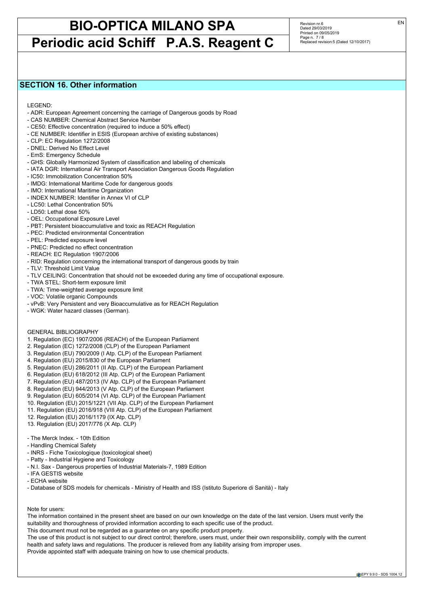## **Periodic acid Schiff P.A.S. Reagent C**

Revision nr.6 Dated 29/03/2019 Printed on 09/05/2019 Page n. 7 / 8 Replaced revision:5 (Dated 12/10/2017)

## **SECTION 16. Other information**

LEGEND:

- ADR: European Agreement concerning the carriage of Dangerous goods by Road
- CAS NUMBER: Chemical Abstract Service Number
- CE50: Effective concentration (required to induce a 50% effect)
- CE NUMBER: Identifier in ESIS (European archive of existing substances)
- CLP: EC Regulation 1272/2008
- DNEL: Derived No Effect Level
- EmS: Emergency Schedule
- GHS: Globally Harmonized System of classification and labeling of chemicals
- IATA DGR: International Air Transport Association Dangerous Goods Regulation
- IC50: Immobilization Concentration 50%
- IMDG: International Maritime Code for dangerous goods
- IMO: International Maritime Organization
- INDEX NUMBER: Identifier in Annex VI of CLP
- LC50: Lethal Concentration 50%
- LD50: Lethal dose 50%
- OEL: Occupational Exposure Level
- PBT: Persistent bioaccumulative and toxic as REACH Regulation
- PEC: Predicted environmental Concentration
- PEL: Predicted exposure level
- PNEC: Predicted no effect concentration
- REACH: EC Regulation 1907/2006
- RID: Regulation concerning the international transport of dangerous goods by train
- TLV: Threshold Limit Value
- TLV CEILING: Concentration that should not be exceeded during any time of occupational exposure.
- TWA STEL: Short-term exposure limit
- TWA: Time-weighted average exposure limit
- VOC: Volatile organic Compounds
- vPvB: Very Persistent and very Bioaccumulative as for REACH Regulation
- WGK: Water hazard classes (German).

#### GENERAL BIBLIOGRAPHY

- 1. Regulation (EC) 1907/2006 (REACH) of the European Parliament
- 2. Regulation (EC) 1272/2008 (CLP) of the European Parliament
- 3. Regulation (EU) 790/2009 (I Atp. CLP) of the European Parliament
- 4. Regulation (EU) 2015/830 of the European Parliament
- 5. Regulation (EU) 286/2011 (II Atp. CLP) of the European Parliament
- 6. Regulation (EU) 618/2012 (III Atp. CLP) of the European Parliament
- 7. Regulation (EU) 487/2013 (IV Atp. CLP) of the European Parliament
- 8. Regulation (EU) 944/2013 (V Atp. CLP) of the European Parliament
- 9. Regulation (EU) 605/2014 (VI Atp. CLP) of the European Parliament
- 10. Regulation (EU) 2015/1221 (VII Atp. CLP) of the European Parliament
- 11. Regulation (EU) 2016/918 (VIII Atp. CLP) of the European Parliament
- 12. Regulation (EU) 2016/1179 (IX Atp. CLP)
- 13. Regulation (EU) 2017/776 (X Atp. CLP)
- The Merck Index. 10th Edition
- Handling Chemical Safety
- INRS Fiche Toxicologique (toxicological sheet)
- Patty Industrial Hygiene and Toxicology
- N.I. Sax Dangerous properties of Industrial Materials-7, 1989 Edition
- IFA GESTIS website
- ECHA website
- Database of SDS models for chemicals Ministry of Health and ISS (Istituto Superiore di Sanità) Italy

#### Note for users:

The information contained in the present sheet are based on our own knowledge on the date of the last version. Users must verify the suitability and thoroughness of provided information according to each specific use of the product.

This document must not be regarded as a guarantee on any specific product property.

The use of this product is not subject to our direct control; therefore, users must, under their own responsibility, comply with the current health and safety laws and regulations. The producer is relieved from any liability arising from improper uses.

Provide appointed staff with adequate training on how to use chemical products.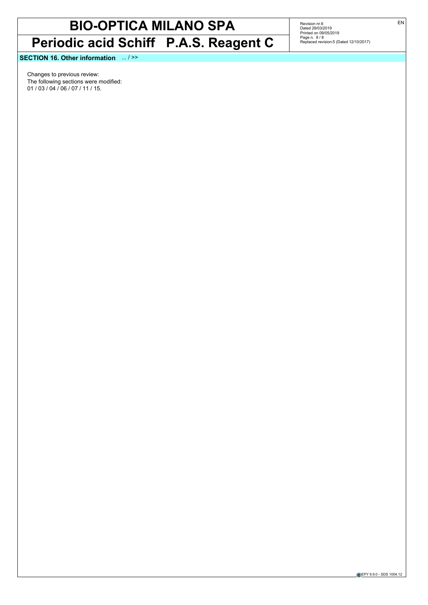# **BIO-OPTICA MILANO SPA Periodic acid Schiff P.A.S. Reagent C**

Revision nr.6<br>Dated 29/03/2019<br>Printed on 09/05/2019<br>Page n. 8 / 8<br>Replaced revision:5 (Dated 12/10/2017)

**SECTION 16. Other information** ... / >>

Changes to previous review: The following sections were modified: 01 / 03 / 04 / 06 / 07 / 11 / 15.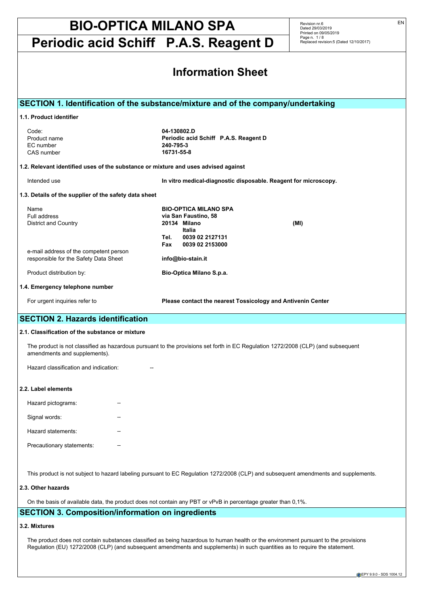**Periodic acid Schiff P.A.S. Reagent D**

Revision nr.6 Dated 29/03/2019 Printed on 09/05/2019 Page n. 1 / 8 Replaced revision:5 (Dated 12/10/2017)

|                                                                                                                                        | <b>Information Sheet</b>                                                                                                                    |
|----------------------------------------------------------------------------------------------------------------------------------------|---------------------------------------------------------------------------------------------------------------------------------------------|
|                                                                                                                                        | SECTION 1. Identification of the substance/mixture and of the company/undertaking                                                           |
| 1.1. Product identifier                                                                                                                |                                                                                                                                             |
| Code:<br>Product name<br>EC number<br>CAS number<br>1.2. Relevant identified uses of the substance or mixture and uses advised against | 04-130802.D<br>Periodic acid Schiff P.A.S. Reagent D<br>240-795-3<br>16731-55-8                                                             |
| Intended use                                                                                                                           | In vitro medical-diagnostic disposable. Reagent for microscopy.                                                                             |
|                                                                                                                                        |                                                                                                                                             |
| 1.3. Details of the supplier of the safety data sheet<br>Name<br>Full address<br><b>District and Country</b>                           | <b>BIO-OPTICA MILANO SPA</b><br>via San Faustino, 58<br>20134 Milano<br>(MI)<br>Italia<br>0039 02 2127131<br>Tel.<br>Fax<br>0039 02 2153000 |
| e-mail address of the competent person<br>responsible for the Safety Data Sheet                                                        | info@bio-stain.it                                                                                                                           |
| Product distribution by:                                                                                                               | Bio-Optica Milano S.p.a.                                                                                                                    |
| 1.4. Emergency telephone number                                                                                                        |                                                                                                                                             |
| For urgent inquiries refer to                                                                                                          | Please contact the nearest Tossicology and Antivenin Center                                                                                 |
| <b>SECTION 2. Hazards identification</b>                                                                                               |                                                                                                                                             |
| 2.1. Classification of the substance or mixture                                                                                        |                                                                                                                                             |
| amendments and supplements).                                                                                                           | The product is not classified as hazardous pursuant to the provisions set forth in EC Regulation 1272/2008 (CLP) (and subsequent            |
| Hazard classification and indication:                                                                                                  |                                                                                                                                             |
| 2.2. Label elements                                                                                                                    |                                                                                                                                             |
| Hazard pictograms:                                                                                                                     |                                                                                                                                             |
| Signal words:                                                                                                                          |                                                                                                                                             |
| Hazard statements:                                                                                                                     |                                                                                                                                             |
| Precautionary statements:                                                                                                              |                                                                                                                                             |
|                                                                                                                                        | This product is not subject to hazard labeling pursuant to EC Regulation 1272/2008 (CLP) and subsequent amendments and supplements.         |
| 2.3. Other hazards                                                                                                                     |                                                                                                                                             |

On the basis of available data, the product does not contain any PBT or vPvB in percentage greater than 0,1%.

## **SECTION 3. Composition/information on ingredients**

### **3.2. Mixtures**

The product does not contain substances classified as being hazardous to human health or the environment pursuant to the provisions Regulation (EU) 1272/2008 (CLP) (and subsequent amendments and supplements) in such quantities as to require the statement.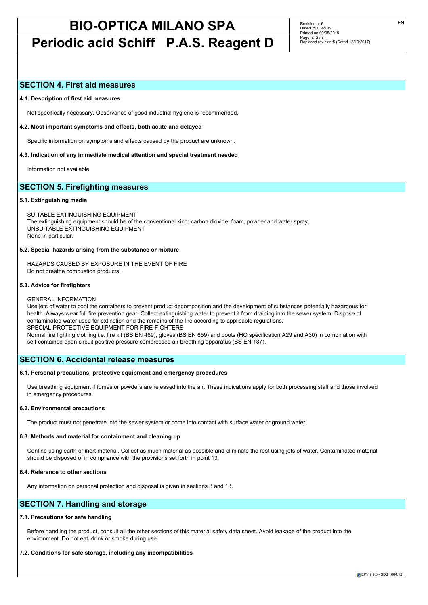## **Periodic acid Schiff P.A.S. Reagent D**

Revision nr.6 Dated 29/03/2019 Printed on 09/05/2019 Page n. 2 / 8 Replaced revision:5 (Dated 12/10/2017)

### **SECTION 4. First aid measures**

#### **4.1. Description of first aid measures**

Not specifically necessary. Observance of good industrial hygiene is recommended.

#### **4.2. Most important symptoms and effects, both acute and delayed**

Specific information on symptoms and effects caused by the product are unknown.

#### **4.3. Indication of any immediate medical attention and special treatment needed**

Information not available

## **SECTION 5. Firefighting measures**

#### **5.1. Extinguishing media**

SUITABLE EXTINGUISHING EQUIPMENT The extinguishing equipment should be of the conventional kind: carbon dioxide, foam, powder and water spray. UNSUITABLE EXTINGUISHING EQUIPMENT None in particular.

#### **5.2. Special hazards arising from the substance or mixture**

HAZARDS CAUSED BY EXPOSURE IN THE EVENT OF FIRE Do not breathe combustion products.

#### **5.3. Advice for firefighters**

#### GENERAL INFORMATION

Use jets of water to cool the containers to prevent product decomposition and the development of substances potentially hazardous for health. Always wear full fire prevention gear. Collect extinguishing water to prevent it from draining into the sewer system. Dispose of contaminated water used for extinction and the remains of the fire according to applicable regulations. SPECIAL PROTECTIVE EQUIPMENT FOR FIRE-FIGHTERS Normal fire fighting clothing i.e. fire kit (BS EN 469), gloves (BS EN 659) and boots (HO specification A29 and A30) in combination with

## **SECTION 6. Accidental release measures**

#### **6.1. Personal precautions, protective equipment and emergency procedures**

self-contained open circuit positive pressure compressed air breathing apparatus (BS EN 137).

Use breathing equipment if fumes or powders are released into the air. These indications apply for both processing staff and those involved in emergency procedures.

#### **6.2. Environmental precautions**

The product must not penetrate into the sewer system or come into contact with surface water or ground water.

#### **6.3. Methods and material for containment and cleaning up**

Confine using earth or inert material. Collect as much material as possible and eliminate the rest using jets of water. Contaminated material should be disposed of in compliance with the provisions set forth in point 13.

## **6.4. Reference to other sections**

Any information on personal protection and disposal is given in sections 8 and 13.

## **SECTION 7. Handling and storage**

#### **7.1. Precautions for safe handling**

Before handling the product, consult all the other sections of this material safety data sheet. Avoid leakage of the product into the environment. Do not eat, drink or smoke during use.

### **7.2. Conditions for safe storage, including any incompatibilities**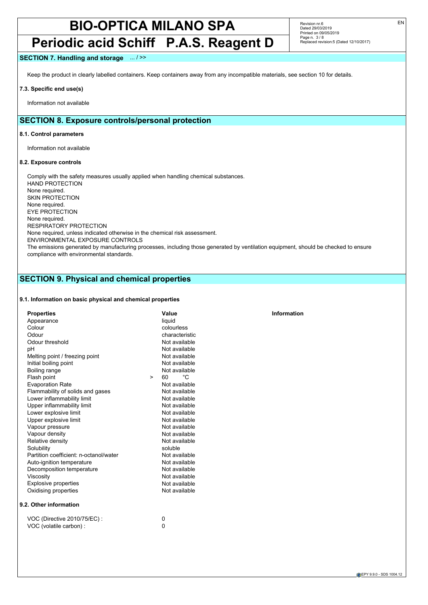## **Periodic acid Schiff P.A.S. Reagent D**

Revision nr.6 Dated 29/03/2019 Printed on 09/05/2019 Page n. 3 / 8 Replaced revision:5 (Dated 12/10/2017)

### **SECTION 7. Handling and storage** ... / >>

Keep the product in clearly labelled containers. Keep containers away from any incompatible materials, see section 10 for details.

#### **7.3. Specific end use(s)**

Information not available

## **SECTION 8. Exposure controls/personal protection**

#### **8.1. Control parameters**

Information not available

#### **8.2. Exposure controls**

Comply with the safety measures usually applied when handling chemical substances. HAND PROTECTION None required. SKIN PROTECTION None required. EYE PROTECTION None required. RESPIRATORY PROTECTION None required, unless indicated otherwise in the chemical risk assessment. ENVIRONMENTAL EXPOSURE CONTROLS The emissions generated by manufacturing processes, including those generated by ventilation equipment, should be checked to ensure compliance with environmental standards.

## **SECTION 9. Physical and chemical properties**

#### **9.1. Information on basic physical and chemical properties**

| <b>Properties</b>                      | Value              | Information |
|----------------------------------------|--------------------|-------------|
| Appearance                             | liquid             |             |
| Colour                                 | colourless         |             |
| Odour                                  | characteristic     |             |
| Odour threshold                        | Not available      |             |
| pH                                     | Not available      |             |
| Melting point / freezing point         | Not available      |             |
| Initial boiling point                  | Not available      |             |
| Boiling range                          | Not available      |             |
| Flash point                            | °C<br>60<br>$\geq$ |             |
| <b>Evaporation Rate</b>                | Not available      |             |
| Flammability of solids and gases       | Not available      |             |
| Lower inflammability limit             | Not available      |             |
| Upper inflammability limit             | Not available      |             |
| Lower explosive limit                  | Not available      |             |
| Upper explosive limit                  | Not available      |             |
| Vapour pressure                        | Not available      |             |
| Vapour density                         | Not available      |             |
| Relative density                       | Not available      |             |
| Solubility                             | soluble            |             |
| Partition coefficient: n-octanol/water | Not available      |             |
| Auto-ignition temperature              | Not available      |             |
| Decomposition temperature              | Not available      |             |
| Viscosity                              | Not available      |             |
| <b>Explosive properties</b>            | Not available      |             |
| Oxidising properties                   | Not available      |             |
| 9.2. Other information                 |                    |             |
| VOC (Directive 2010/75/EC) :           | 0                  |             |

VOC (volatile carbon) : 0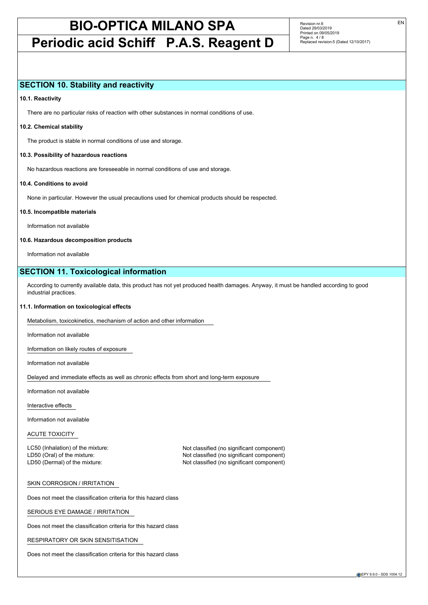## **Periodic acid Schiff P.A.S. Reagent D**

Revision nr.6 Dated 29/03/2019 Printed on 09/05/2019 Page n. 4 / 8 Replaced revision:5 (Dated 12/10/2017)

### **SECTION 10. Stability and reactivity**

#### **10.1. Reactivity**

There are no particular risks of reaction with other substances in normal conditions of use.

#### **10.2. Chemical stability**

The product is stable in normal conditions of use and storage.

#### **10.3. Possibility of hazardous reactions**

No hazardous reactions are foreseeable in normal conditions of use and storage.

#### **10.4. Conditions to avoid**

None in particular. However the usual precautions used for chemical products should be respected.

#### **10.5. Incompatible materials**

Information not available

#### **10.6. Hazardous decomposition products**

Information not available

## **SECTION 11. Toxicological information**

According to currently available data, this product has not yet produced health damages. Anyway, it must be handled according to good industrial practices.

#### **11.1. Information on toxicological effects**

Metabolism, toxicokinetics, mechanism of action and other information

Information not available

Information on likely routes of exposure

Information not available

Delayed and immediate effects as well as chronic effects from short and long-term exposure

Information not available

Interactive effects

Information not available

#### ACUTE TOXICITY

LC50 (Inhalation) of the mixture: Not classified (no significant component)

LD50 (Oral) of the mixture: Not classified (no significant component) LD50 (Dermal) of the mixture: Not classified (no significant component)

#### SKIN CORROSION / IRRITATION

Does not meet the classification criteria for this hazard class

SERIOUS EYE DAMAGE / IRRITATION

Does not meet the classification criteria for this hazard class

#### RESPIRATORY OR SKIN SENSITISATION

Does not meet the classification criteria for this hazard class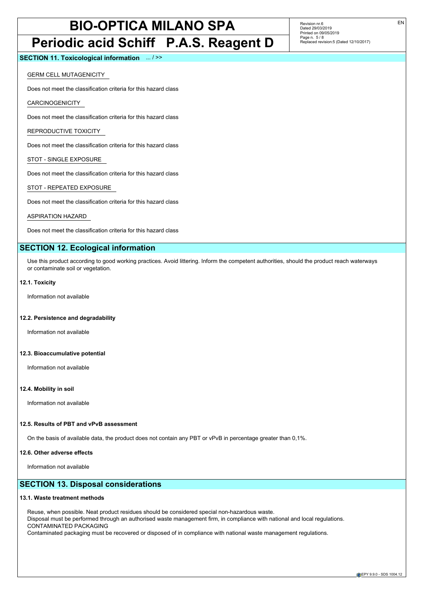## **Periodic acid Schiff P.A.S. Reagent D**

Revision nr.6 Dated 29/03/2019 Printed on 09/05/2019 Page n. 5 / 8 Replaced revision:5 (Dated 12/10/2017)

**SECTION 11. Toxicological information** ... / >>

GERM CELL MUTAGENICITY

Does not meet the classification criteria for this hazard class

CARCINOGENICITY

Does not meet the classification criteria for this hazard class

REPRODUCTIVE TOXICITY

Does not meet the classification criteria for this hazard class

STOT - SINGLE EXPOSURE

Does not meet the classification criteria for this hazard class

STOT - REPEATED EXPOSURE

Does not meet the classification criteria for this hazard class

ASPIRATION HAZARD

Does not meet the classification criteria for this hazard class

## **SECTION 12. Ecological information**

Use this product according to good working practices. Avoid littering. Inform the competent authorities, should the product reach waterways or contaminate soil or vegetation.

#### **12.1. Toxicity**

Information not available

#### **12.2. Persistence and degradability**

Information not available

#### **12.3. Bioaccumulative potential**

Information not available

#### **12.4. Mobility in soil**

Information not available

#### **12.5. Results of PBT and vPvB assessment**

On the basis of available data, the product does not contain any PBT or vPvB in percentage greater than 0,1%.

#### **12.6. Other adverse effects**

Information not available

## **SECTION 13. Disposal considerations**

#### **13.1. Waste treatment methods**

Reuse, when possible. Neat product residues should be considered special non-hazardous waste. Disposal must be performed through an authorised waste management firm, in compliance with national and local regulations. CONTAMINATED PACKAGING Contaminated packaging must be recovered or disposed of in compliance with national waste management regulations.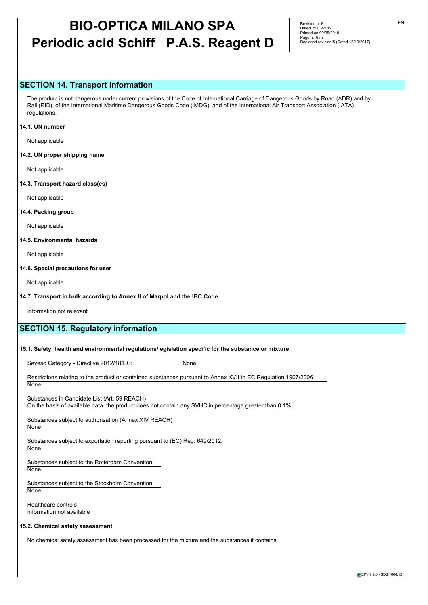## **Periodic acid Schiff P.A.S. Reagent D**

Revision nr.6 Dated 29/03/2019 Printed on 09/05/2019 Page n. 6/8 Replaced revision:5 (Dated 12/10/2017)

### **SECTION 14. Transport information**

The product is not dangerous under current provisions of the Code of International Carriage of Dangerous Goods by Road (ADR) and by Rail (RID), of the International Maritime Dangerous Goods Code (IMDG), and of the International Air Transport Association (IATA) regulations.

#### **14.1. UN number**

Not applicable

**14.2. UN proper shipping name**

Not applicable

**14.3. Transport hazard class(es)**

Not applicable

#### **14.4. Packing group**

Not applicable

#### **14.5. Environmental hazards**

Not applicable

#### **14.6. Special precautions for user**

Not applicable

#### **14.7. Transport in bulk according to Annex II of Marpol and the IBC Code**

Information not relevant

## **SECTION 15. Regulatory information**

#### **15.1. Safety, health and environmental regulations/legislation specific for the substance or mixture**

Seveso Category - Directive 2012/18/EC: None

Restrictions relating to the product or contained substances pursuant to Annex XVII to EC Regulation 1907/2006 **None** 

Substances in Candidate List (Art. 59 REACH)

On the basis of available data, the product does not contain any SVHC in percentage greater than 0,1%.

Substances subject to authorisation (Annex XIV REACH) **None** 

Substances subject to exportation reporting pursuant to (EC) Reg. 649/2012:

**None** 

Substances subject to the Rotterdam Convention: **None** 

Substances subject to the Stockholm Convention: **None** 

Healthcare controls Information not available

#### **15.2. Chemical safety assessment**

No chemical safety assessment has been processed for the mixture and the substances it contains.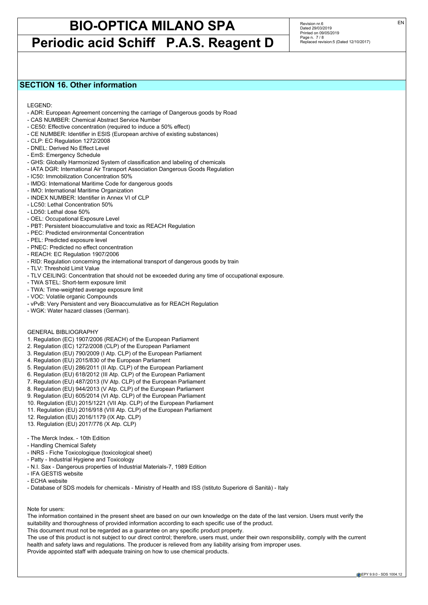## **Periodic acid Schiff P.A.S. Reagent D**

Revision nr.6 Dated 29/03/2019 Printed on 09/05/2019 Page n. 7 / 8 Replaced revision:5 (Dated 12/10/2017)

## **SECTION 16. Other information**

LEGEND:

- ADR: European Agreement concerning the carriage of Dangerous goods by Road
- CAS NUMBER: Chemical Abstract Service Number
- CE50: Effective concentration (required to induce a 50% effect)
- CE NUMBER: Identifier in ESIS (European archive of existing substances)
- CLP: EC Regulation 1272/2008
- DNEL: Derived No Effect Level
- EmS: Emergency Schedule
- GHS: Globally Harmonized System of classification and labeling of chemicals
- IATA DGR: International Air Transport Association Dangerous Goods Regulation
- IC50: Immobilization Concentration 50%
- IMDG: International Maritime Code for dangerous goods
- IMO: International Maritime Organization
- INDEX NUMBER: Identifier in Annex VI of CLP
- LC50: Lethal Concentration 50%
- LD50: Lethal dose 50%
- OEL: Occupational Exposure Level
- PBT: Persistent bioaccumulative and toxic as REACH Regulation
- PEC: Predicted environmental Concentration
- PEL: Predicted exposure level
- PNEC: Predicted no effect concentration
- REACH: EC Regulation 1907/2006
- RID: Regulation concerning the international transport of dangerous goods by train
- TLV: Threshold Limit Value
- TLV CEILING: Concentration that should not be exceeded during any time of occupational exposure.
- TWA STEL: Short-term exposure limit
- TWA: Time-weighted average exposure limit
- VOC: Volatile organic Compounds
- vPvB: Very Persistent and very Bioaccumulative as for REACH Regulation
- WGK: Water hazard classes (German).

#### GENERAL BIBLIOGRAPHY

- 1. Regulation (EC) 1907/2006 (REACH) of the European Parliament
- 2. Regulation (EC) 1272/2008 (CLP) of the European Parliament
- 3. Regulation (EU) 790/2009 (I Atp. CLP) of the European Parliament
- 4. Regulation (EU) 2015/830 of the European Parliament
- 5. Regulation (EU) 286/2011 (II Atp. CLP) of the European Parliament
- 6. Regulation (EU) 618/2012 (III Atp. CLP) of the European Parliament
- 7. Regulation (EU) 487/2013 (IV Atp. CLP) of the European Parliament
- 8. Regulation (EU) 944/2013 (V Atp. CLP) of the European Parliament
- 9. Regulation (EU) 605/2014 (VI Atp. CLP) of the European Parliament
- 10. Regulation (EU) 2015/1221 (VII Atp. CLP) of the European Parliament
- 11. Regulation (EU) 2016/918 (VIII Atp. CLP) of the European Parliament
- 12. Regulation (EU) 2016/1179 (IX Atp. CLP)
- 13. Regulation (EU) 2017/776 (X Atp. CLP)
- The Merck Index. 10th Edition
- Handling Chemical Safety
- INRS Fiche Toxicologique (toxicological sheet)
- Patty Industrial Hygiene and Toxicology
- N.I. Sax Dangerous properties of Industrial Materials-7, 1989 Edition
- IFA GESTIS website
- ECHA website
- Database of SDS models for chemicals Ministry of Health and ISS (Istituto Superiore di Sanità) Italy

#### Note for users:

The information contained in the present sheet are based on our own knowledge on the date of the last version. Users must verify the suitability and thoroughness of provided information according to each specific use of the product.

This document must not be regarded as a guarantee on any specific product property.

The use of this product is not subject to our direct control; therefore, users must, under their own responsibility, comply with the current health and safety laws and regulations. The producer is relieved from any liability arising from improper uses.

Provide appointed staff with adequate training on how to use chemical products.

EPY 9.9.0 - SDS 1004.12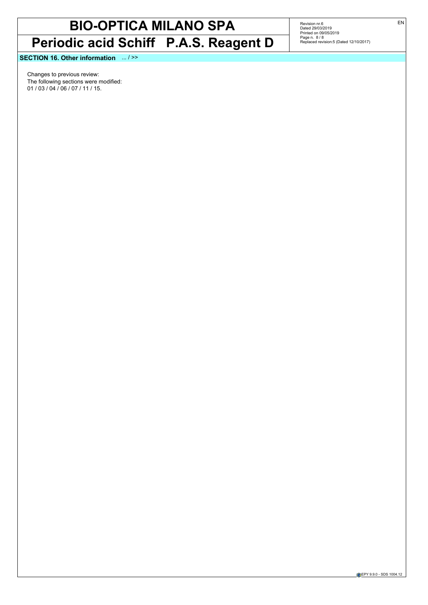# **BIO-OPTICA MILANO SPA Periodic acid Schiff P.A.S. Reagent D**

Revision nr.6<br>Dated 29/03/2019<br>Printed on 09/05/2019<br>Page n. 8 / 8<br>Replaced revision:5 (Dated 12/10/2017)

**SECTION 16. Other information** ... / >>

Changes to previous review: The following sections were modified: 01 / 03 / 04 / 06 / 07 / 11 / 15.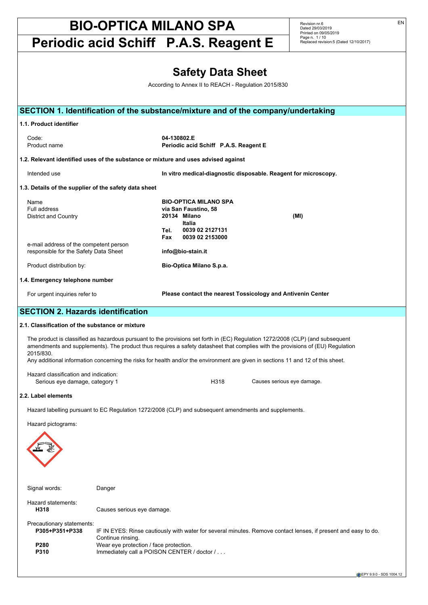**Periodic acid Schiff P.A.S. Reagent E**

Revision nr.6 Dated 29/03/2019 Printed on 09/05/2019 Page n. 1 / 10 Replaced revision:5 (Dated 12/10/2017)

|                                                                                 |                                                                                                            | <b>Safety Data Sheet</b><br>According to Annex II to REACH - Regulation 2015/830                                                    |                                                                                                                                                                                                                                                                  |  |
|---------------------------------------------------------------------------------|------------------------------------------------------------------------------------------------------------|-------------------------------------------------------------------------------------------------------------------------------------|------------------------------------------------------------------------------------------------------------------------------------------------------------------------------------------------------------------------------------------------------------------|--|
|                                                                                 |                                                                                                            |                                                                                                                                     |                                                                                                                                                                                                                                                                  |  |
|                                                                                 |                                                                                                            | SECTION 1. Identification of the substance/mixture and of the company/undertaking                                                   |                                                                                                                                                                                                                                                                  |  |
| 1.1. Product identifier                                                         |                                                                                                            |                                                                                                                                     |                                                                                                                                                                                                                                                                  |  |
| Code:<br>Product name                                                           |                                                                                                            | 04-130802.E<br>Periodic acid Schiff P.A.S. Reagent E                                                                                |                                                                                                                                                                                                                                                                  |  |
|                                                                                 |                                                                                                            | 1.2. Relevant identified uses of the substance or mixture and uses advised against                                                  |                                                                                                                                                                                                                                                                  |  |
| Intended use                                                                    |                                                                                                            | In vitro medical-diagnostic disposable. Reagent for microscopy.                                                                     |                                                                                                                                                                                                                                                                  |  |
| 1.3. Details of the supplier of the safety data sheet                           |                                                                                                            |                                                                                                                                     |                                                                                                                                                                                                                                                                  |  |
| Name<br>Full address<br>District and Country                                    |                                                                                                            | <b>BIO-OPTICA MILANO SPA</b><br>via San Faustino, 58<br>20134 Milano<br>Italia<br>0039 02 2127131<br>Tel.<br>0039 02 2153000<br>Fax | (MI)                                                                                                                                                                                                                                                             |  |
| e-mail address of the competent person<br>responsible for the Safety Data Sheet |                                                                                                            | info@bio-stain.it                                                                                                                   |                                                                                                                                                                                                                                                                  |  |
| Product distribution by:                                                        |                                                                                                            | Bio-Optica Milano S.p.a.                                                                                                            |                                                                                                                                                                                                                                                                  |  |
| 1.4. Emergency telephone number                                                 |                                                                                                            |                                                                                                                                     |                                                                                                                                                                                                                                                                  |  |
| For urgent inquiries refer to                                                   |                                                                                                            | Please contact the nearest Tossicology and Antivenin Center                                                                         |                                                                                                                                                                                                                                                                  |  |
| <b>SECTION 2. Hazards identification</b>                                        |                                                                                                            |                                                                                                                                     |                                                                                                                                                                                                                                                                  |  |
| 2.1. Classification of the substance or mixture                                 |                                                                                                            |                                                                                                                                     |                                                                                                                                                                                                                                                                  |  |
| 2015/830.                                                                       |                                                                                                            | Any additional information concerning the risks for health and/or the environment are given in sections 11 and 12 of this sheet.    | The product is classified as hazardous pursuant to the provisions set forth in (EC) Regulation 1272/2008 (CLP) (and subsequent<br>amendments and supplements). The product thus requires a safety datasheet that complies with the provisions of (EU) Regulation |  |
| Hazard classification and indication:<br>Serious eye damage, category 1         |                                                                                                            | H318                                                                                                                                | Causes serious eye damage.                                                                                                                                                                                                                                       |  |
| 2.2. Label elements                                                             |                                                                                                            |                                                                                                                                     |                                                                                                                                                                                                                                                                  |  |
|                                                                                 |                                                                                                            | Hazard labelling pursuant to EC Regulation 1272/2008 (CLP) and subsequent amendments and supplements.                               |                                                                                                                                                                                                                                                                  |  |
| Hazard pictograms:                                                              |                                                                                                            |                                                                                                                                     |                                                                                                                                                                                                                                                                  |  |
|                                                                                 |                                                                                                            |                                                                                                                                     |                                                                                                                                                                                                                                                                  |  |
| Signal words:                                                                   | Danger                                                                                                     |                                                                                                                                     |                                                                                                                                                                                                                                                                  |  |
| Hazard statements:<br>H318                                                      | Causes serious eye damage.                                                                                 |                                                                                                                                     |                                                                                                                                                                                                                                                                  |  |
| Precautionary statements:<br>P305+P351+P338<br>P280<br>P310                     | Continue rinsing.<br>Wear eye protection / face protection.<br>Immediately call a POISON CENTER / doctor / |                                                                                                                                     | IF IN EYES: Rinse cautiously with water for several minutes. Remove contact lenses, if present and easy to do.                                                                                                                                                   |  |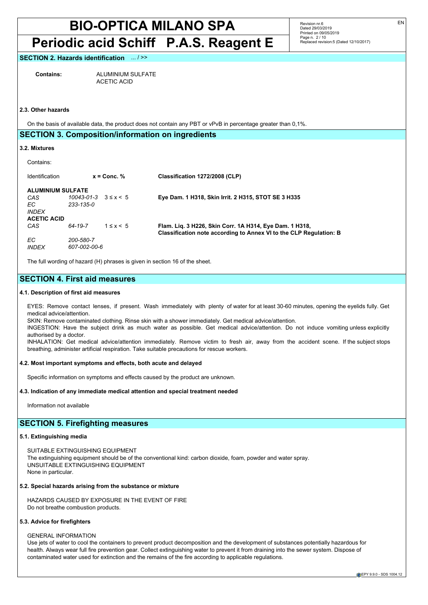## **Periodic acid Schiff P.A.S. Reagent E**

Revision nr.6 Dated 29/03/2019 Printed on 09/05/2019 Page n. 2 / 10 Replaced revision:5 (Dated 12/10/2017)

#### **SECTION 2. Hazards identification** ... / >>

**Contains:** ALUMINIUM SULFATE ACETIC ACID

### **2.3. Other hazards**

On the basis of available data, the product does not contain any PBT or vPvB in percentage greater than 0,1%.

#### **SECTION 3. Composition/information on ingredients**

#### **3.2. Mixtures**

#### Contains:

| Identification                                                               |                                               | $x =$ Conc. %  | Classification 1272/2008 (CLP)                                                                                                |
|------------------------------------------------------------------------------|-----------------------------------------------|----------------|-------------------------------------------------------------------------------------------------------------------------------|
| <b>ALUMINIUM SULFATE</b><br>CAS<br>EC.<br><b>INDFX</b><br><b>ACETIC ACID</b> | $10043 - 01 - 3$ $3 \le x \le 5$<br>233-135-0 |                | Eye Dam. 1 H318, Skin Irrit. 2 H315, STOT SE 3 H335                                                                           |
| CAS<br>EC.<br><b>INDEX</b>                                                   | 64-19-7<br>200-580-7<br>607-002-00-6          | $1 \leq x < 5$ | Flam. Lig. 3 H226, Skin Corr. 1A H314, Eye Dam. 1 H318,<br>Classification note according to Annex VI to the CLP Regulation: B |

The full wording of hazard (H) phrases is given in section 16 of the sheet.

## **SECTION 4. First aid measures**

#### **4.1. Description of first aid measures**

EYES: Remove contact lenses, if present. Wash immediately with plenty of water for at least 30-60 minutes, opening the eyelids fully. Get medical advice/attention.

SKIN: Remove contaminated clothing. Rinse skin with a shower immediately. Get medical advice/attention.

INGESTION: Have the subject drink as much water as possible. Get medical advice/attention. Do not induce vomiting unless explicitly authorised by a doctor.

INHALATION: Get medical advice/attention immediately. Remove victim to fresh air, away from the accident scene. If the subject stops breathing, administer artificial respiration. Take suitable precautions for rescue workers.

#### **4.2. Most important symptoms and effects, both acute and delayed**

Specific information on symptoms and effects caused by the product are unknown.

#### **4.3. Indication of any immediate medical attention and special treatment needed**

Information not available

### **SECTION 5. Firefighting measures**

#### **5.1. Extinguishing media**

SUITABLE EXTINGUISHING EQUIPMENT The extinguishing equipment should be of the conventional kind: carbon dioxide, foam, powder and water spray. UNSUITABLE EXTINGUISHING EQUIPMENT None in particular.

### **5.2. Special hazards arising from the substance or mixture**

HAZARDS CAUSED BY EXPOSURE IN THE EVENT OF FIRE Do not breathe combustion products.

#### **5.3. Advice for firefighters**

#### GENERAL INFORMATION

Use jets of water to cool the containers to prevent product decomposition and the development of substances potentially hazardous for health. Always wear full fire prevention gear. Collect extinguishing water to prevent it from draining into the sewer system. Dispose of contaminated water used for extinction and the remains of the fire according to applicable regulations.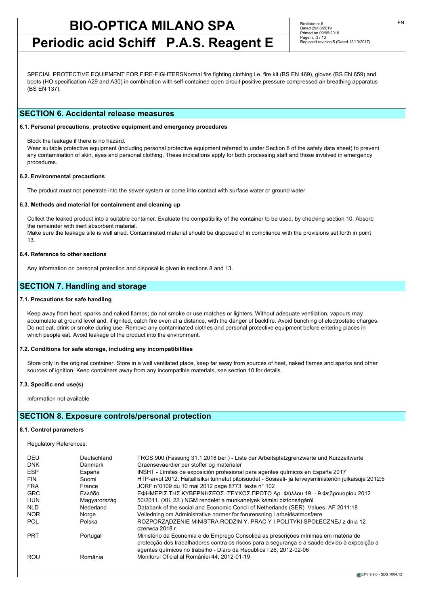**Periodic acid Schiff P.A.S. Reagent E**

Revision nr.6 Dated 29/03/2019 Printed on 09/05/2019 Page n. 3 / 10 Replaced revision:5 (Dated 12/10/2017)

SPECIAL PROTECTIVE EQUIPMENT FOR FIRE-FIGHTERSNormal fire fighting clothing i.e. fire kit (BS EN 469), gloves (BS EN 659) and boots (HO specification A29 and A30) in combination with self-contained open circuit positive pressure compressed air breathing apparatus (BS EN 137).

### **SECTION 6. Accidental release measures**

#### **6.1. Personal precautions, protective equipment and emergency procedures**

Block the leakage if there is no hazard.

Wear suitable protective equipment (including personal protective equipment referred to under Section 8 of the safety data sheet) to prevent any contamination of skin, eyes and personal clothing. These indications apply for both processing staff and those involved in emergency procedures.

#### **6.2. Environmental precautions**

The product must not penetrate into the sewer system or come into contact with surface water or ground water.

#### **6.3. Methods and material for containment and cleaning up**

Collect the leaked product into a suitable container. Evaluate the compatibility of the container to be used, by checking section 10. Absorb the remainder with inert absorbent material.

Make sure the leakage site is well aired. Contaminated material should be disposed of in compliance with the provisions set forth in point 13.

#### **6.4. Reference to other sections**

Any information on personal protection and disposal is given in sections 8 and 13.

### **SECTION 7. Handling and storage**

#### **7.1. Precautions for safe handling**

Keep away from heat, sparks and naked flames; do not smoke or use matches or lighters. Without adequate ventilation, vapours may accumulate at ground level and, if ignited, catch fire even at a distance, with the danger of backfire. Avoid bunching of electrostatic charges. Do not eat, drink or smoke during use. Remove any contaminated clothes and personal protective equipment before entering places in which people eat. Avoid leakage of the product into the environment.

#### **7.2. Conditions for safe storage, including any incompatibilities**

Store only in the original container. Store in a well ventilated place, keep far away from sources of heat, naked flames and sparks and other sources of ignition. Keep containers away from any incompatible materials, see section 10 for details.

#### **7.3. Specific end use(s)**

Information not available

## **SECTION 8. Exposure controls/personal protection**

#### **8.1. Control parameters**

Regulatory References:

| <b>DEU</b>               | Deutschland       | TRGS 900 (Fassung 31.1.2018 ber.) - Liste der Arbeitsplatzgrenzwerte und Kurzzeitwerte                                                                                                                                                                   |
|--------------------------|-------------------|----------------------------------------------------------------------------------------------------------------------------------------------------------------------------------------------------------------------------------------------------------|
| <b>DNK</b><br><b>ESP</b> | Danmark<br>España | Graensevaerdier per stoffer og materialer                                                                                                                                                                                                                |
|                          |                   | INSHT - Límites de exposición profesional para agentes químicos en España 2017                                                                                                                                                                           |
| <b>FIN</b>               | Suomi             | HTP-arvot 2012. Haitallisiksi tunnetut pitoisuudet - Sosiaali- ja terveysministeriön julkaisuja 2012:5                                                                                                                                                   |
| <b>FRA</b>               | France            | JORF n°0109 du 10 mai 2012 page 8773 texte n° 102                                                                                                                                                                                                        |
| <b>GRC</b>               | Ελλάδα            | ΕΦΗΜΕΡΙΣ ΤΗΣ ΚΥΒΕΡΝΗΣΕΩΣ -ΤΕΥΧΟΣ ΠΡΩΤΟ Αρ. Φύλλου 19 - 9 Φεβρουαρίου 2012                                                                                                                                                                                |
| <b>HUN</b>               | Magyarország      | 50/2011. (XII. 22.) NGM rendelet a munkahelyek kémiai biztonságáról                                                                                                                                                                                      |
| <b>NLD</b>               | Nederland         | Databank of the social and Economic Concil of Netherlands (SER) Values, AF 2011:18                                                                                                                                                                       |
| <b>NOR</b>               | Norge             | Veiledning om Administrative normer for forurensning i arbeidsatmosfære                                                                                                                                                                                  |
| <b>POL</b>               | Polska            | ROZPORZĄDZENIE MINISTRA RODZINY, PRACY I POLITYKI SPOŁECZNEJ z dnia 12<br>czerwca 2018 r                                                                                                                                                                 |
| <b>PRT</b>               | Portugal          | Ministério da Economia e do Emprego Consolida as prescrições mínimas em matéria de<br>protecção dos trabalhadores contra os riscos para a segurança e a saúde devido à exposição a<br>agentes guímicos no trabalho - Diaro da Republica I 26; 2012-02-06 |
| ROU                      | România           | Monitorul Oficial al României 44: 2012-01-19                                                                                                                                                                                                             |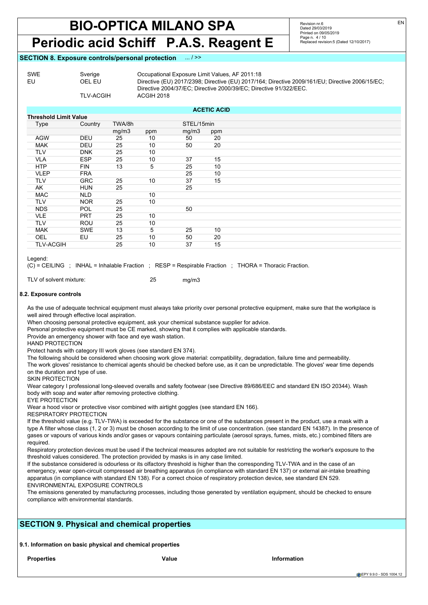## **Periodic acid Schiff P.A.S. Reagent E**

Revision nr.6 Dated 29/03/2019 Printed on 09/05/2019 Page n. 4 / 10 Replaced revision:5 (Dated 12/10/2017)

#### **SECTION 8. Exposure controls/personal protection** ... / >>

| Directive (EU) 2017/2398; Directive (EU) 2017/164; Directive 2009/161/EU; Directive 2006/15/EC; |
|-------------------------------------------------------------------------------------------------|
|                                                                                                 |
|                                                                                                 |
|                                                                                                 |

| <b>ACETIC ACID</b>           |            |        |     |            |     |  |
|------------------------------|------------|--------|-----|------------|-----|--|
| <b>Threshold Limit Value</b> |            |        |     |            |     |  |
| Type                         | Country    | TWA/8h |     | STEL/15min |     |  |
|                              |            | mg/m3  | ppm | mg/m3      | ppm |  |
| <b>AGW</b>                   | <b>DEU</b> | 25     | 10  | 50         | 20  |  |
| <b>MAK</b>                   | DEU        | 25     | 10  | 50         | 20  |  |
| <b>TLV</b>                   | <b>DNK</b> | 25     | 10  |            |     |  |
| <b>VLA</b>                   | <b>ESP</b> | 25     | 10  | 37         | 15  |  |
| <b>HTP</b>                   | <b>FIN</b> | 13     | 5   | 25         | 10  |  |
| <b>VLEP</b>                  | <b>FRA</b> |        |     | 25         | 10  |  |
| TLV                          | <b>GRC</b> | 25     | 10  | 37         | 15  |  |
| AK                           | <b>HUN</b> | 25     |     | 25         |     |  |
| <b>MAC</b>                   | <b>NLD</b> |        | 10  |            |     |  |
| <b>TLV</b>                   | <b>NOR</b> | 25     | 10  |            |     |  |
| <b>NDS</b>                   | POL        | 25     |     | 50         |     |  |
| <b>VLE</b>                   | <b>PRT</b> | 25     | 10  |            |     |  |
| TLV                          | ROU        | 25     | 10  |            |     |  |
| <b>MAK</b>                   | <b>SWE</b> | 13     | 5   | 25         | 10  |  |
| OEL                          | EU         | 25     | 10  | 50         | 20  |  |
| <b>TLV-ACGIH</b>             |            | 25     | 10  | 37         | 15  |  |

Legend:

(C) = CEILING ; INHAL = Inhalable Fraction ; RESP = Respirable Fraction ; THORA = Thoracic Fraction.

TLV of solvent mixture: 25 mg/m3

#### **8.2. Exposure controls**

As the use of adequate technical equipment must always take priority over personal protective equipment, make sure that the workplace is well aired through effective local aspiration.

When choosing personal protective equipment, ask your chemical substance supplier for advice.

Personal protective equipment must be CE marked, showing that it complies with applicable standards.

Provide an emergency shower with face and eye wash station.

HAND PROTECTION

Protect hands with category III work gloves (see standard EN 374).

The following should be considered when choosing work glove material: compatibility, degradation, failure time and permeability. The work gloves' resistance to chemical agents should be checked before use, as it can be unpredictable. The gloves' wear time depends on the duration and type of use.

SKIN PROTECTION

Wear category I professional long-sleeved overalls and safety footwear (see Directive 89/686/EEC and standard EN ISO 20344). Wash body with soap and water after removing protective clothing.

EYE PROTECTION

Wear a hood visor or protective visor combined with airtight goggles (see standard EN 166).

RESPIRATORY PROTECTION

If the threshold value (e.g. TLV-TWA) is exceeded for the substance or one of the substances present in the product, use a mask with a type A filter whose class (1, 2 or 3) must be chosen according to the limit of use concentration. (see standard EN 14387). In the presence of gases or vapours of various kinds and/or gases or vapours containing particulate (aerosol sprays, fumes, mists, etc.) combined filters are required.

Respiratory protection devices must be used if the technical measures adopted are not suitable for restricting the worker's exposure to the threshold values considered. The protection provided by masks is in any case limited.

If the substance considered is odourless or its olfactory threshold is higher than the corresponding TLV-TWA and in the case of an emergency, wear open-circuit compressed air breathing apparatus (in compliance with standard EN 137) or external air-intake breathing apparatus (in compliance with standard EN 138). For a correct choice of respiratory protection device, see standard EN 529. ENVIRONMENTAL EXPOSURE CONTROLS

The emissions generated by manufacturing processes, including those generated by ventilation equipment, should be checked to ensure compliance with environmental standards.

## **SECTION 9. Physical and chemical properties**

**9.1. Information on basic physical and chemical properties**

**Properties Value Information**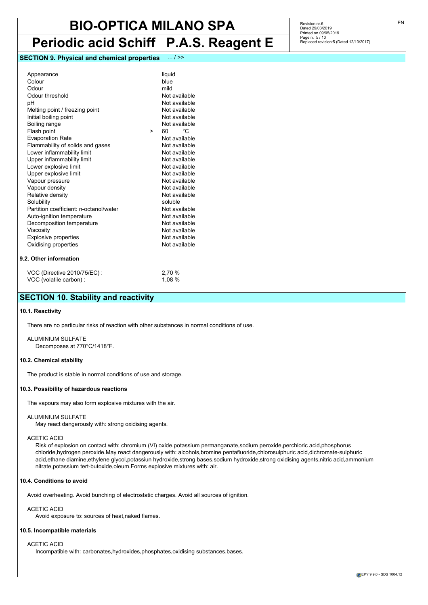## **Periodic acid Schiff P.A.S. Reagent E**

## **SECTION 9. Physical and chemical properties** ... / >>

| Appearance<br>Colour<br>Odour<br>Odour threshold<br>рH<br>Melting point / freezing point<br>Initial boiling point<br>Boiling range<br>Flash point<br><b>Evaporation Rate</b><br>Flammability of solids and gases<br>Lower inflammability limit<br>Upper inflammability limit<br>Lower explosive limit<br>Upper explosive limit<br>Vapour pressure<br>Vapour density<br>Relative density<br>Solubility<br>Partition coefficient: n-octanol/water<br>Auto-ignition temperature<br>Decomposition temperature<br>Viscosity<br><b>Explosive properties</b><br>Oxidising properties | > | liquid<br>blue<br>mild<br>Not available<br>Not available<br>Not available<br>Not available<br>Not available<br>°C.<br>60.<br>Not available<br>Not available<br>Not available<br>Not available<br>Not available<br>Not available<br>Not available<br>Not available<br>Not available<br>soluble<br>Not available<br>Not available<br>Not available<br>Not available<br>Not available<br>Not available |
|-------------------------------------------------------------------------------------------------------------------------------------------------------------------------------------------------------------------------------------------------------------------------------------------------------------------------------------------------------------------------------------------------------------------------------------------------------------------------------------------------------------------------------------------------------------------------------|---|-----------------------------------------------------------------------------------------------------------------------------------------------------------------------------------------------------------------------------------------------------------------------------------------------------------------------------------------------------------------------------------------------------|
| 9.2. Other information                                                                                                                                                                                                                                                                                                                                                                                                                                                                                                                                                        |   |                                                                                                                                                                                                                                                                                                                                                                                                     |
| 1/00/10                                                                                                                                                                                                                                                                                                                                                                                                                                                                                                                                                                       |   | $\sim$ 70 $\sim$                                                                                                                                                                                                                                                                                                                                                                                    |

#### VOC (Directive 2010/75/EC) : 2,70 % VOC (volatile carbon) : 1,08 %

## **SECTION 10. Stability and reactivity**

#### **10.1. Reactivity**

There are no particular risks of reaction with other substances in normal conditions of use.

ALUMINIUM SULFATE Decomposes at 770°C/1418°F.

#### **10.2. Chemical stability**

The product is stable in normal conditions of use and storage.

#### **10.3. Possibility of hazardous reactions**

The vapours may also form explosive mixtures with the air.

#### ALUMINIUM SULFATE

May react dangerously with: strong oxidising agents.

#### ACETIC ACID

Risk of explosion on contact with: chromium (VI) oxide,potassium permanganate,sodium peroxide,perchloric acid,phosphorus chloride,hydrogen peroxide.May react dangerously with: alcohols,bromine pentafluoride,chlorosulphuric acid,dichromate-sulphuric acid,ethane diamine,ethylene glycol,potassiun hydroxide,strong bases,sodium hydroxide,strong oxidising agents,nitric acid,ammonium nitrate,potassium tert-butoxide,oleum.Forms explosive mixtures with: air.

#### **10.4. Conditions to avoid**

Avoid overheating. Avoid bunching of electrostatic charges. Avoid all sources of ignition.

#### ACETIC ACID

Avoid exposure to: sources of heat,naked flames.

### **10.5. Incompatible materials**

#### ACETIC ACID

Incompatible with: carbonates,hydroxides,phosphates,oxidising substances,bases.

Revision nr.6 Dated 29/03/2019 Printed on 09/05/2019 Page n. 5 / 10 Replaced revision:5 (Dated 12/10/2017)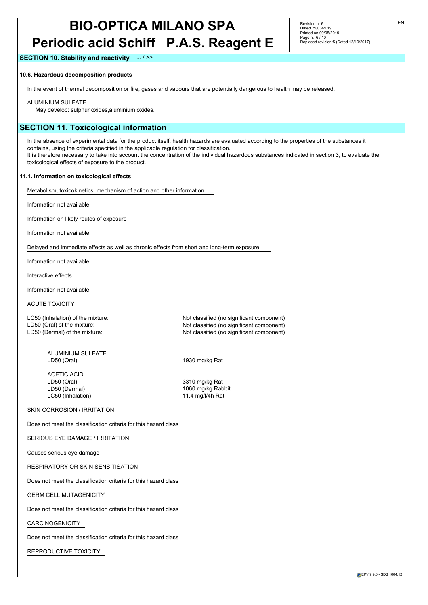## **Periodic acid Schiff P.A.S. Reagent E**

Revision nr.6 Dated 29/03/2019 Printed on 09/05/2019 Page n. 6/10 Replaced revision:5 (Dated 12/10/2017)

#### **SECTION 10. Stability and reactivity** ... / >>

#### **10.6. Hazardous decomposition products**

In the event of thermal decomposition or fire, gases and vapours that are potentially dangerous to health may be released.

ALUMINIUM SULFATE

May develop: sulphur oxides,aluminium oxides.

## **SECTION 11. Toxicological information**

In the absence of experimental data for the product itself, health hazards are evaluated according to the properties of the substances it contains, using the criteria specified in the applicable regulation for classification. It is therefore necessary to take into account the concentration of the individual hazardous substances indicated in section 3, to evaluate the toxicological effects of exposure to the product.

#### **11.1. Information on toxicological effects**

Metabolism, toxicokinetics, mechanism of action and other information

Information not available

Information on likely routes of exposure

Information not available

Delayed and immediate effects as well as chronic effects from short and long-term exposure

Information not available

Interactive effects

Information not available

ACUTE TOXICITY

LC50 (Inhalation) of the mixture: Not classified (no significant component)<br>
LD50 (Oral) of the mixture: Not classified (no significant component) LD50 (Dermal) of the mixture: Not classified (no significant component)

ALUMINIUM SULFATE LD50 (Oral) 1930 mg/kg Rat

ACETIC ACID<br>LD50 (Oral) LD50 (Dermal) 1060 mg/kg Rabbit<br>
LC50 (Inhalation) 11.4 mg/l/4h Rat LC50 (Inhalation)

3310 mg/kg Rat

Not classified (no significant component)

SKIN CORROSION / IRRITATION

Does not meet the classification criteria for this hazard class

SERIOUS EYE DAMAGE / IRRITATION

Causes serious eye damage

RESPIRATORY OR SKIN SENSITISATION

Does not meet the classification criteria for this hazard class

GERM CELL MUTAGENICITY

Does not meet the classification criteria for this hazard class

#### CARCINOGENICITY

Does not meet the classification criteria for this hazard class

REPRODUCTIVE TOXICITY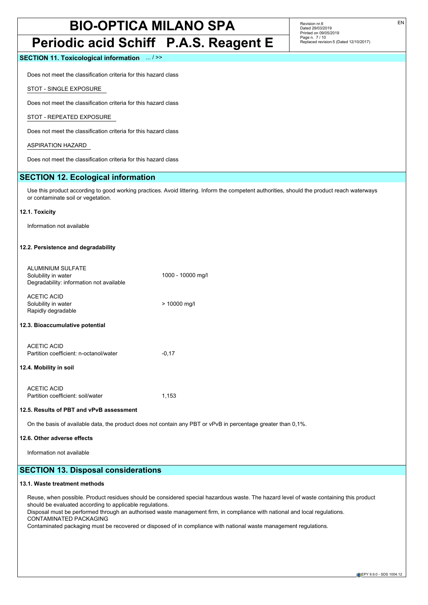## **Periodic acid Schiff P.A.S. Reagent E**

**SECTION 11. Toxicological information** ... / >>

Does not meet the classification criteria for this hazard class

STOT - SINGLE EXPOSURE

Does not meet the classification criteria for this hazard class

STOT - REPEATED EXPOSURE

Does not meet the classification criteria for this hazard class

ASPIRATION HAZARD

Does not meet the classification criteria for this hazard class

## **SECTION 12. Ecological information**

Use this product according to good working practices. Avoid littering. Inform the competent authorities, should the product reach waterways or contaminate soil or vegetation.

#### **12.1. Toxicity**

Information not available

#### **12.2. Persistence and degradability**

| ALUMINIUM SULFATE<br>Solubility in water<br>Degradability: information not available | 1000 - 10000 mg/l |
|--------------------------------------------------------------------------------------|-------------------|
| ACETIC ACID<br>Solubility in water<br>Rapidly degradable                             | > 10000 mg/l      |
| 12.3. Bioaccumulative potential                                                      |                   |
| ACETIC ACID<br>Partition coefficient: n-octanol/water                                | $-0,17$           |
| 12.4. Mobility in soil                                                               |                   |
|                                                                                      |                   |

| ACETIC ACID                       |       |
|-----------------------------------|-------|
| Partition coefficient: soil/water | 1.153 |

#### **12.5. Results of PBT and vPvB assessment**

On the basis of available data, the product does not contain any PBT or vPvB in percentage greater than 0,1%.

#### **12.6. Other adverse effects**

Information not available

## **SECTION 13. Disposal considerations**

#### **13.1. Waste treatment methods**

Reuse, when possible. Product residues should be considered special hazardous waste. The hazard level of waste containing this product should be evaluated according to applicable regulations.

Disposal must be performed through an authorised waste management firm, in compliance with national and local regulations. CONTAMINATED PACKAGING

Contaminated packaging must be recovered or disposed of in compliance with national waste management regulations.

Revision nr.6 Dated 29/03/2019 Printed on 09/05/2019 Page n. 7 / 10 Replaced revision:5 (Dated 12/10/2017)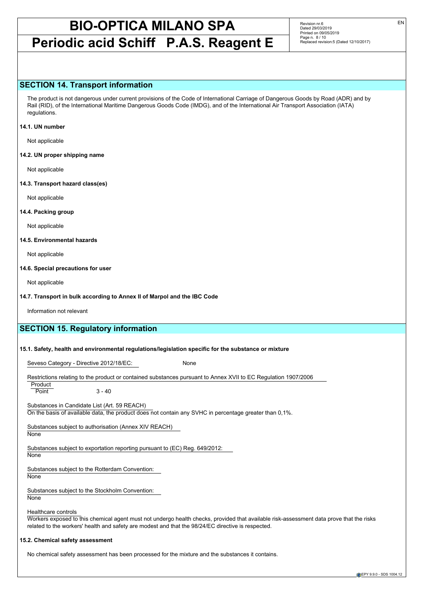## **Periodic acid Schiff P.A.S. Reagent E**

Revision nr.6 Dated 29/03/2019 Printed on 09/05/2019 Page n. 8 / 10 Replaced revision:5 (Dated 12/10/2017)

### **SECTION 14. Transport information**

The product is not dangerous under current provisions of the Code of International Carriage of Dangerous Goods by Road (ADR) and by Rail (RID), of the International Maritime Dangerous Goods Code (IMDG), and of the International Air Transport Association (IATA) regulations.

#### **14.1. UN number**

Not applicable

**14.2. UN proper shipping name**

Not applicable

#### **14.3. Transport hazard class(es)**

Not applicable

#### **14.4. Packing group**

Not applicable

#### **14.5. Environmental hazards**

Not applicable

#### **14.6. Special precautions for user**

Not applicable

#### **14.7. Transport in bulk according to Annex II of Marpol and the IBC Code**

Information not relevant

## **SECTION 15. Regulatory information**

#### **15.1. Safety, health and environmental regulations/legislation specific for the substance or mixture**

Seveso Category - Directive 2012/18/EC: None

Restrictions relating to the product or contained substances pursuant to Annex XVII to EC Regulation 1907/2006

**Product**  $\overline{Point}$   $3 - 40$ 

Substances in Candidate List (Art. 59 REACH) On the basis of available data, the product does not contain any SVHC in percentage greater than 0,1%.

Substances subject to authorisation (Annex XIV REACH)

**None** 

Substances subject to exportation reporting pursuant to (EC) Reg. 649/2012: None

Substances subject to the Rotterdam Convention:

None

Substances subject to the Stockholm Convention:

**None** 

Healthcare controls

Workers exposed to this chemical agent must not undergo health checks, provided that available risk-assessment data prove that the risks related to the workers' health and safety are modest and that the 98/24/EC directive is respected.

#### **15.2. Chemical safety assessment**

No chemical safety assessment has been processed for the mixture and the substances it contains.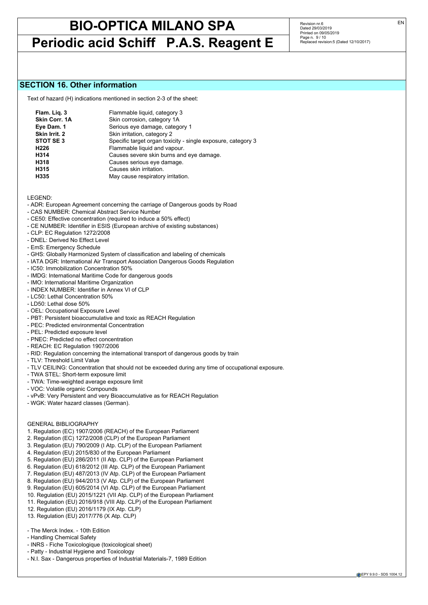## **Periodic acid Schiff P.A.S. Reagent E**

Revision nr.6 Dated 29/03/2019 Printed on 09/05/2019 Page n. 9 / 10 Replaced revision:5 (Dated 12/10/2017)

### **SECTION 16. Other information**

Text of hazard (H) indications mentioned in section 2-3 of the sheet:

| Flam. Liq. 3     | Flammable liquid, category 3                                 |
|------------------|--------------------------------------------------------------|
| Skin Corr. 1A    | Skin corrosion, category 1A                                  |
| Eye Dam. 1       | Serious eye damage, category 1                               |
| Skin Irrit. 2    | Skin irritation, category 2                                  |
| STOT SE3         | Specific target organ toxicity - single exposure, category 3 |
| H <sub>226</sub> | Flammable liquid and vapour.                                 |
| H314             | Causes severe skin burns and eye damage.                     |
| H318             | Causes serious eye damage.                                   |
| H315             | Causes skin irritation.                                      |
| H335             | May cause respiratory irritation.                            |

LEGEND:

- ADR: European Agreement concerning the carriage of Dangerous goods by Road
- CAS NUMBER: Chemical Abstract Service Number
- CE50: Effective concentration (required to induce a 50% effect)
- CE NUMBER: Identifier in ESIS (European archive of existing substances)
- CLP: EC Regulation 1272/2008
- DNEL: Derived No Effect Level
- EmS: Emergency Schedule
- GHS: Globally Harmonized System of classification and labeling of chemicals
- IATA DGR: International Air Transport Association Dangerous Goods Regulation
- IC50: Immobilization Concentration 50%
- IMDG: International Maritime Code for dangerous goods
- IMO: International Maritime Organization
- INDEX NUMBER: Identifier in Annex VI of CLP
- LC50: Lethal Concentration 50%
- LD50: Lethal dose 50%
- OEL: Occupational Exposure Level
- PBT: Persistent bioaccumulative and toxic as REACH Regulation
- PEC: Predicted environmental Concentration
- PEL: Predicted exposure level
- PNEC: Predicted no effect concentration
- REACH: EC Regulation 1907/2006
- RID: Regulation concerning the international transport of dangerous goods by train
- TLV: Threshold Limit Value
- TLV CEILING: Concentration that should not be exceeded during any time of occupational exposure.
- TWA STEL: Short-term exposure limit
- TWA: Time-weighted average exposure limit
- VOC: Volatile organic Compounds
- vPvB: Very Persistent and very Bioaccumulative as for REACH Regulation
- WGK: Water hazard classes (German).

#### GENERAL BIBLIOGRAPHY

- 1. Regulation (EC) 1907/2006 (REACH) of the European Parliament
- 2. Regulation (EC) 1272/2008 (CLP) of the European Parliament
- 3. Regulation (EU) 790/2009 (I Atp. CLP) of the European Parliament
- 4. Regulation (EU) 2015/830 of the European Parliament
- 5. Regulation (EU) 286/2011 (II Atp. CLP) of the European Parliament
- 6. Regulation (EU) 618/2012 (III Atp. CLP) of the European Parliament
- 7. Regulation (EU) 487/2013 (IV Atp. CLP) of the European Parliament
- 8. Regulation (EU) 944/2013 (V Atp. CLP) of the European Parliament
- 9. Regulation (EU) 605/2014 (VI Atp. CLP) of the European Parliament
- 10. Regulation (EU) 2015/1221 (VII Atp. CLP) of the European Parliament
- 11. Regulation (EU) 2016/918 (VIII Atp. CLP) of the European Parliament
- 12. Regulation (EU) 2016/1179 (IX Atp. CLP)
- 13. Regulation (EU) 2017/776 (X Atp. CLP)

### - The Merck Index. - 10th Edition

- Handling Chemical Safety
- INRS Fiche Toxicologique (toxicological sheet)
- Patty Industrial Hygiene and Toxicology
- N.I. Sax Dangerous properties of Industrial Materials-7, 1989 Edition